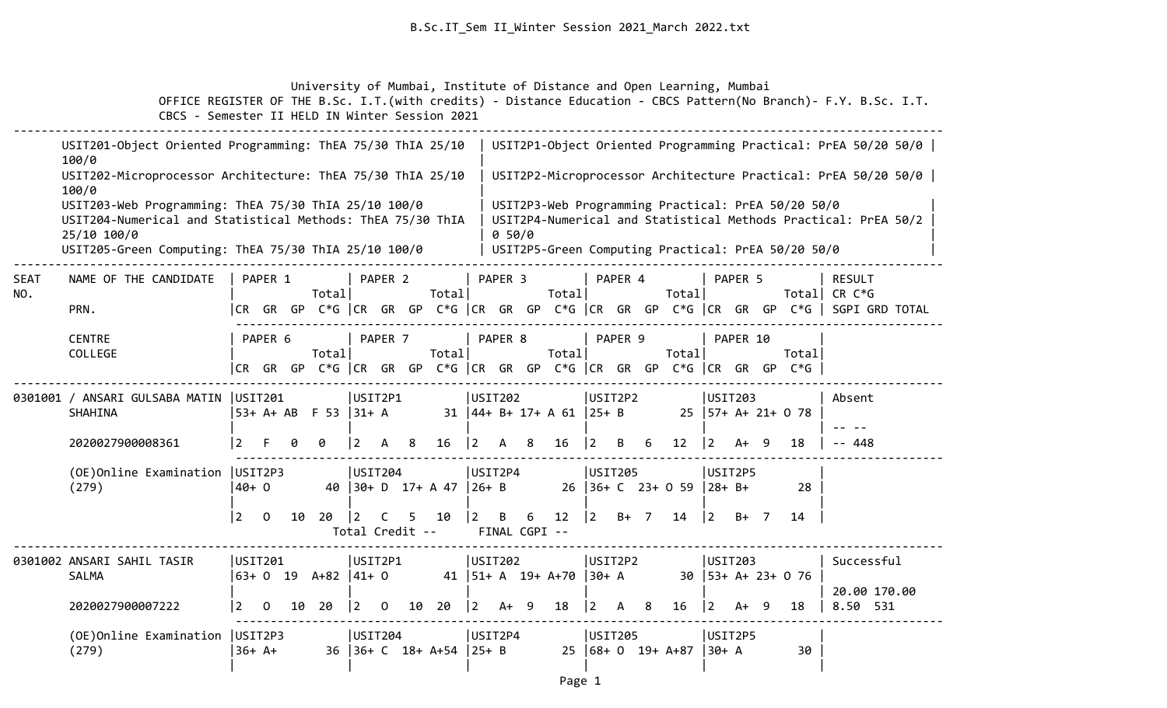University of Mumbai, Institute of Distance and Open Learning, Mumbai

|                    | USIT201-Object Oriented Programming: ThEA 75/30 ThIA 25/10<br>100/0                                                                                                                       |                                   |    |       |                |                      |                                                                |          |                    |    |                              |                     |         |   |                                   |                        |          |   |                                                                                                          | USIT2P1-Object Oriented Programming Practical: PrEA 50/20 50/0                                                                           |
|--------------------|-------------------------------------------------------------------------------------------------------------------------------------------------------------------------------------------|-----------------------------------|----|-------|----------------|----------------------|----------------------------------------------------------------|----------|--------------------|----|------------------------------|---------------------|---------|---|-----------------------------------|------------------------|----------|---|----------------------------------------------------------------------------------------------------------|------------------------------------------------------------------------------------------------------------------------------------------|
|                    | USIT202-Microprocessor Architecture: ThEA 75/30 ThIA 25/10<br>100/0                                                                                                                       |                                   |    |       |                |                      |                                                                |          |                    |    |                              |                     |         |   |                                   |                        |          |   |                                                                                                          | USIT2P2-Microprocessor Architecture Practical: PrEA 50/20 50/0                                                                           |
|                    | USIT203-Web Programming: ThEA 75/30 ThIA 25/10 100/0<br>USIT204-Numerical and Statistical Methods: ThEA 75/30 ThIA<br>25/10 100/0<br>USIT205-Green Computing: ThEA 75/30 ThIA 25/10 100/0 |                                   |    |       |                |                      |                                                                |          | 0.50/0             |    |                              |                     |         |   |                                   |                        |          |   | USIT2P3-Web Programming Practical: PrEA 50/20 50/0<br>USIT2P5-Green Computing Practical: PrEA 50/20 50/0 | USIT2P4-Numerical and Statistical Methods Practical: PrEA 50/2                                                                           |
| <b>SEAT</b><br>NO. | NAME OF THE CANDIDATE<br>PRN.                                                                                                                                                             | PAPER 1<br>ICR GR GP              |    | Total |                | PAPER 2              | Total                                                          |          | PAPER 3            |    | Total                        |                     | PAPER 4 |   | Total                             |                        | PAPER 5  |   |                                                                                                          | <b>RESULT</b><br>Total CR C*G<br><code>C*G</code> $ $ CR GR GP C*G $ $ CR GR GP C*G $ $ CR GR GP C*G $ $ CR GR GP C*G $ $ SGPI GRD TOTAL |
|                    | <b>CENTRE</b><br>COLLEGE                                                                                                                                                                  | PAPER 6<br>ICR GR GP              |    | Total |                | PAPER 7              | Total<br>C*G CR GR GP C*G CR GR GP C*G CR GR GP C*G CR GR GP C |          | PAPER 8            |    | Total                        |                     | PAPER 9 |   | Total                             |                        | PAPER 10 |   | Totall<br>$C*G$                                                                                          |                                                                                                                                          |
|                    | 0301001 / ANSARI GULSABA MATIN  USIT201<br>SHAHINA                                                                                                                                        | 53+ A+ AB F 53  31+ A             |    |       | USIT2P1        |                      |                                                                |          | USIT202            |    | $31$  44+ B+ 17+ A 61  25+ B | USIT2P2             |         |   |                                   | USIT203                |          |   | $25$   57+ A+ 21+ 0 78                                                                                   | Absent                                                                                                                                   |
|                    | 2020027900008361                                                                                                                                                                          | $\overline{2}$<br>F               |    | ø     | $\overline{2}$ | 8<br>A               | 16                                                             | 2        | $\mathsf{A}$       | 8  | 16                           | 2                   | B       | 6 | 12 <sub>2</sub>                   | l 2                    | $A+ 9$   |   | 18                                                                                                       | -- 448                                                                                                                                   |
|                    | (OE) Online Examination   USIT2P3<br>(279)                                                                                                                                                | 40+0                              |    |       | <b>USIT204</b> |                      | 40 30+ D 17+ A 47                                              | $ 26+ B$ | USIT2P4            |    |                              | USIT205             |         |   | $26$   36+ C $23+$ 0 59           | USIT2P5<br>$ 28 + B +$ |          |   | 28                                                                                                       |                                                                                                                                          |
|                    |                                                                                                                                                                                           | $ 2\rangle$<br>$\Omega$           | 10 | 20    | $\vert$ 2      | C<br>Total Credit -- | 10                                                             | 2        | B<br>FINAL CGPI -- | 6  | $12 \overline{ }$            | $ 2\rangle$         | $B+ 7$  |   | 14                                | $ 2\rangle$            | $B+ 7$   |   | 14                                                                                                       |                                                                                                                                          |
|                    | 0301002 ANSARI SAHIL TASIR<br><b>SALMA</b>                                                                                                                                                | USIT201<br>$ 63+0 19 4+82  41+0$  |    |       | USIT2P1        |                      |                                                                |          | USIT202            |    | 41   51 + A 19 + A + 70      | USIT2P2<br>$ 30+ A$ |         |   |                                   | USIT203                |          |   | $30$   53+ A+ 23+ 0 76                                                                                   | Successful<br>20.00 170.00                                                                                                               |
|                    | 2020027900007222                                                                                                                                                                          | $\vert 2 \vert$<br>$\overline{0}$ | 10 | 20    | $ 2\rangle$    | $\Omega$<br>10       | 20                                                             | <u>2</u> | $A+$               | -9 | 18                           | 2                   | A       | 8 | 16                                | 2                      | A+       | 9 | 18                                                                                                       | 8.50 531                                                                                                                                 |
|                    | (OE) Online Examination   USIT2P3<br>(279)                                                                                                                                                | $ 36+ A+$                         |    |       | USTI204        |                      | $36$   36+ C 18+ A+54   25+ B                                  | USIT2P4  |                    |    |                              | USIT205             |         |   | $25 \mid 68 + 0 \mid 19 + A + 87$ | USIT2P5<br> 30+ A      |          |   | 30                                                                                                       |                                                                                                                                          |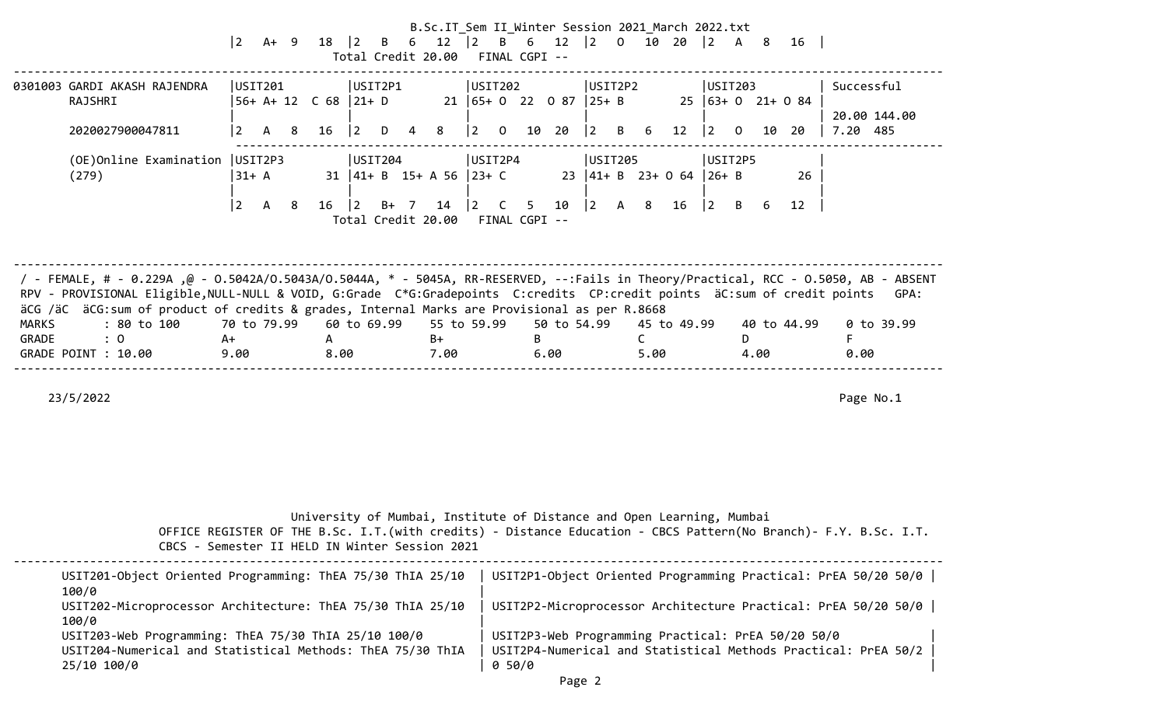|                                         |                                                                                                                                                                                                                                                                                                                                                                |                                   |      |               |                                                                       |   | B.Sc.IT_Sem II_Winter Session 2021_March 2022.txt |                                       |                |           |             |             |     |                      |                                 |                                           |           |    |                                                    |   |                                                                |      |
|-----------------------------------------|----------------------------------------------------------------------------------------------------------------------------------------------------------------------------------------------------------------------------------------------------------------------------------------------------------------------------------------------------------------|-----------------------------------|------|---------------|-----------------------------------------------------------------------|---|---------------------------------------------------|---------------------------------------|----------------|-----------|-------------|-------------|-----|----------------------|---------------------------------|-------------------------------------------|-----------|----|----------------------------------------------------|---|----------------------------------------------------------------|------|
|                                         |                                                                                                                                                                                                                                                                                                                                                                | $ 2\rangle$                       | A+ 9 | $18 \mid 2$   | Total Credit 20.00 FINAL CGPI --                                      |   | B 6 12   2 B 6 12   2 0 10 20   2                 |                                       |                |           |             |             |     |                      |                                 |                                           |           |    | A 8 16                                             |   |                                                                |      |
| 0301003 GARDI AKASH RAJENDRA<br>RAJSHRI |                                                                                                                                                                                                                                                                                                                                                                | USIT201<br>$56+ A+ 12$ C 68 21+ D |      |               | USIT2P1                                                               |   |                                                   | USIT202<br>21   65+ 0 22 0 87   25+ B |                |           |             | USIT2P2     |     |                      |                                 |                                           | USIT203   |    | $25   63 + 0 21 + 0 84$                            |   | Successful                                                     |      |
|                                         | 2020027900047811                                                                                                                                                                                                                                                                                                                                               | $\overline{2}$<br>A               | 8    | 16            | $ 2\rangle$<br>D                                                      | 4 | 8                                                 | $ 2\rangle$                           | $\overline{O}$ | 10 20     |             | $ 2\rangle$ |     | B 6                  | 12                              | $ 2\rangle$                               | 0         | 10 | -20                                                |   | 20.00 144.00<br>7.20 485                                       |      |
| (279)                                   | (OE) Online Examination   USIT2P3                                                                                                                                                                                                                                                                                                                              | 31+ A                             |      |               | USIT204<br>$31 \mid 41 + B$ 15+ A 56 23+ C                            |   |                                                   | USIT2P4                               |                |           |             | USIT205     |     |                      | 23 $ 41 + B$ 23+ 0 64 $ 26 + B$ | USIT2P5                                   |           |    | 26                                                 |   |                                                                |      |
|                                         |                                                                                                                                                                                                                                                                                                                                                                | $\vert$ 2<br>A                    | - 8  | $16 \quad  2$ | Total Credit 20.00 FINAL CGPI --                                      |   | $B+ 7 14$  2                                      |                                       | $\overline{C}$ |           | 5 10        | $\vert$ 2   | A 8 |                      | 16                              | $\begin{vmatrix} 2 & B & 6 \end{vmatrix}$ |           |    | 12                                                 |   |                                                                |      |
|                                         | / FEMALE, # - 0.229A ,@ - 0.5042A/0.5043A/0.5044A, * - 5045A, RR-RESERVED, --:Fails in Theory/Practical, RCC - 0.5050, AB - ABSENT<br>RPV - PROVISIONAL Eligible, NULL-NULL & VOID, G:Grade C*G:Gradepoints C:credits CP:credit points äC:sum of credit points<br>äCG /äC äCG:sum of product of credits & grades, Internal Marks are Provisional as per R.8668 |                                   |      |               |                                                                       |   |                                                   |                                       |                |           |             |             |     |                      |                                 |                                           |           |    |                                                    |   |                                                                | GPA: |
| MARKS                                   | : 80 to 100                                                                                                                                                                                                                                                                                                                                                    | 70 to 79.99                       |      |               | 60 to 69.99                                                           |   | 55 to 59.99                                       |                                       |                |           | 50 to 54.99 |             |     |                      | 45 to 49.99                     |                                           |           |    | 40 to 44.99                                        |   | 0 to 39.99                                                     |      |
| GRADE<br>GRADE POINT : 10.00            | : 0                                                                                                                                                                                                                                                                                                                                                            | A+<br>9.00                        |      | A<br>8.00     |                                                                       |   | B+<br>7.00                                        |                                       |                | B<br>6.00 |             |             |     | $\mathsf{C}$<br>5.00 |                                 |                                           | D<br>4.00 |    |                                                    | F | 0.00                                                           |      |
| 23/5/2022                               |                                                                                                                                                                                                                                                                                                                                                                |                                   |      |               |                                                                       |   |                                                   |                                       |                |           |             |             |     |                      |                                 |                                           |           |    |                                                    |   | Page No.1                                                      |      |
|                                         | OFFICE REGISTER OF THE B.Sc. I.T. (with credits) - Distance Education - CBCS Pattern (No Branch) - F.Y. B.Sc. I.T.<br>CBCS - Semester II HELD IN Winter Session 2021                                                                                                                                                                                           |                                   |      |               | University of Mumbai, Institute of Distance and Open Learning, Mumbai |   |                                                   |                                       |                |           |             |             |     |                      |                                 |                                           |           |    |                                                    |   |                                                                |      |
|                                         | USIT201-Object Oriented Programming: ThEA 75/30 ThIA 25/10                                                                                                                                                                                                                                                                                                     |                                   |      |               |                                                                       |   |                                                   |                                       |                |           |             |             |     |                      |                                 |                                           |           |    |                                                    |   | USIT2P1-Object Oriented Programming Practical: PrEA 50/20 50/0 |      |
| 100/0<br>100/0                          | USIT202-Microprocessor Architecture: ThEA 75/30 ThIA 25/10                                                                                                                                                                                                                                                                                                     |                                   |      |               |                                                                       |   |                                                   |                                       |                |           |             |             |     |                      |                                 |                                           |           |    |                                                    |   | USIT2P2-Microprocessor Architecture Practical: PrEA 50/20 50/0 |      |
| 25/10 100/0                             | USIT203-Web Programming: ThEA 75/30 ThIA 25/10 100/0<br>USIT204-Numerical and Statistical Methods: ThEA 75/30 ThIA                                                                                                                                                                                                                                             |                                   |      |               |                                                                       |   |                                                   |                                       | 0 50/0         |           |             |             |     |                      |                                 |                                           |           |    | USIT2P3-Web Programming Practical: PrEA 50/20 50/0 |   | USIT2P4-Numerical and Statistical Methods Practical: PrEA 50/2 |      |

Page 2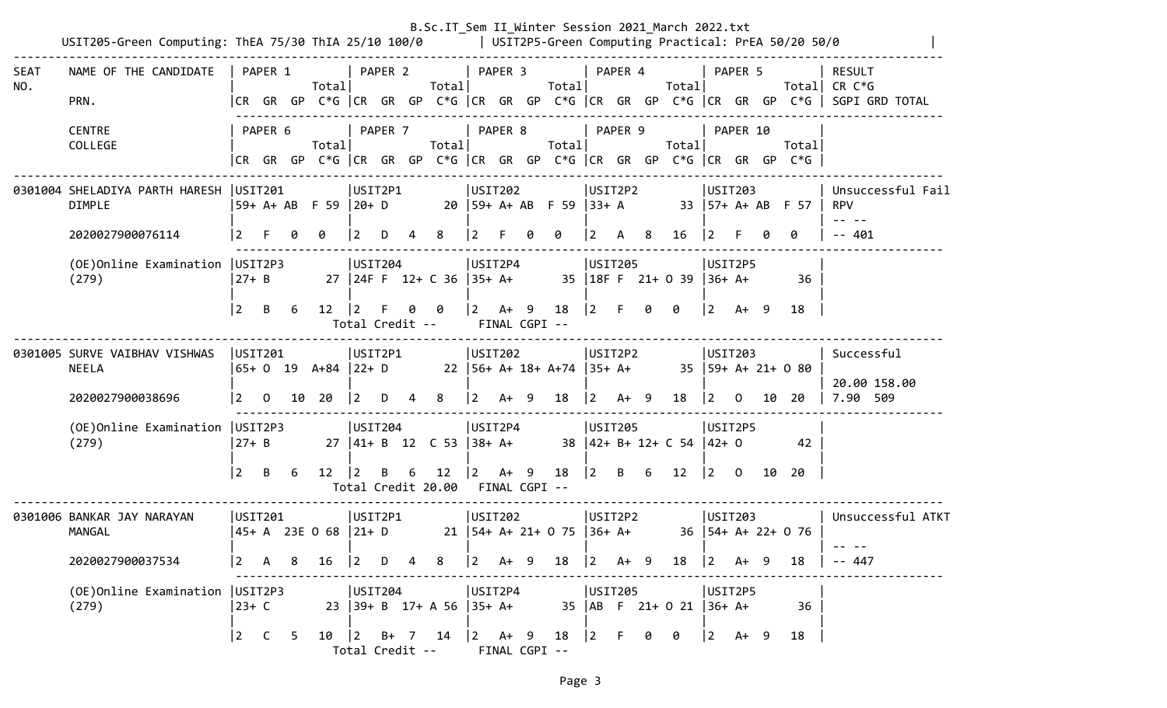|                    | USIT205-Green Computing: ThEA 75/30 ThIA 25/10 100/0   USIT2P5-Green Computing Practical: PrEA 50/20 50/0 |                 |              |     |                                         |                 |         |   |                                                       |                           |        |     | B.Sc.IT_Sem II_Winter Session 2021_March 2022.txt |                      |        |     |                              |                        |                |    |                                                                                |                                                                                                                           |
|--------------------|-----------------------------------------------------------------------------------------------------------|-----------------|--------------|-----|-----------------------------------------|-----------------|---------|---|-------------------------------------------------------|---------------------------|--------|-----|---------------------------------------------------|----------------------|--------|-----|------------------------------|------------------------|----------------|----|--------------------------------------------------------------------------------|---------------------------------------------------------------------------------------------------------------------------|
| <b>SEAT</b><br>NO. | NAME OF THE CANDIDATE<br>PRN.                                                                             |                 | PAPER 1      |     | Totall                                  |                 | PAPER 2 |   | Total                                                 | PAPER 3                   |        |     | Totall                                            | PAPER 4              |        |     | Total                        |                        | PAPER 5        |    |                                                                                | <b>RESULT</b><br>Total CR $C*G$<br> CR GR GP C*G  CR GR GP C*G  CR GR GP C*G  CR GR GP C*G  CR GR GP C*G   SGPI GRD TOTAL |
|                    | <b>CENTRE</b><br>COLLEGE                                                                                  |                 | PAPER 6      |     | Total                                   |                 | PAPER 7 |   | Total                                                 | PAPER 8                   |        |     | Total                                             | PAPER 9              |        |     | Total                        |                        | PAPER 10       |    | Total<br> CR GR GP C*G  CR GR GP C*G  CR GR GP C*G  CR GR GP C*G  CR GR GP C*G |                                                                                                                           |
|                    | 0301004 SHELADIYA PARTH HARESH   USIT201<br><b>DIMPLE</b>                                                 |                 |              |     | 59+ A+ AB F 59  20+ D                   | USIT2P1         |         |   |                                                       | USIT202                   |        |     | $20$  59+ A+ AB F 59  33+ A                       | USIT2P2              |        |     |                              | USIT203                |                |    | $33 \mid 57+ A+ AB + 57$                                                       | Unsuccessful Fail<br><b>RPV</b>                                                                                           |
|                    | 2020027900076114                                                                                          |                 |              |     | ø                                       | <u> 2</u>       | D       |   | 8                                                     |                           |        |     | 0                                                 | 2                    | A      | - 8 | 16                           | 2                      |                |    | 0                                                                              | $-- 401$                                                                                                                  |
|                    | (OE) Online Examination   USIT2P3<br>(279)                                                                | 27+ B           |              |     |                                         | USIT204         |         |   | 27 24F F 12+ C 36 35+ A+                              | USIT2P4                   |        |     |                                                   | USIT205              |        |     | 35   18F F 21+ 0 39          | USIT2P5<br>$ 36+ A+$   |                |    | 36                                                                             |                                                                                                                           |
|                    |                                                                                                           | 2               | B            | 6   | $12 \mid 2$                             |                 | F.      | 0 | - 0<br>Total Credit --                                | $ 2 \tA+ 9$               |        |     | 18<br>FINAL CGPI --                               | $\vert 2 \vert$ F    |        | 0   | 0                            | $ 2 \tA+ 9$            |                |    | 18                                                                             |                                                                                                                           |
|                    | 0301005 SURVE VAIBHAV VISHWAS<br><b>NEELA</b><br>2020027900038696                                         | USTI201<br>l 2. | $\mathbf 0$  | 10  | 65+ 0 19 A+84  22+ D<br>20              | USIT2P1<br> 2   | D       |   | 8                                                     | USIT202<br>$\overline{2}$ | $A+ 9$ |     | 22   56+ A+ 18+ A+74   35+ A+<br>18               | USIT2P2<br>$\vert$ 2 | $A+ 9$ |     | 18                           | USIT203<br>$ 2\rangle$ | $\Omega$       |    | $35$   59+ A+ 21+ 0 80<br>10 20                                                | Successful<br>20.00 158.00<br>7.90 509                                                                                    |
|                    | (OE) Online Examination   USIT2P3<br>(279)                                                                | $ 27+ B$        |              |     |                                         | USIT204         |         |   | $27 \mid 41 + B \mid 12 \mid C \mid 53 \mid 38 + A +$ | USIT2P4                   |        |     |                                                   | USIT205              |        |     | $38$  42+ B+ 12+ C 54  42+ 0 | USIT2P5                |                |    | 42                                                                             |                                                                                                                           |
|                    |                                                                                                           | 2               | -B           | -6  | 12                                      | 12              | B       | 6 | 12<br>Total Credit 20.00 FINAL CGPI --                | $ 2 \rangle$              | A+ 9   |     | 18                                                | 2                    | B 6    |     | 12                           | $ 2\rangle$            | $\overline{0}$ | 10 | -20                                                                            |                                                                                                                           |
|                    | 0301006 BANKAR JAY NARAYAN<br>MANGAL                                                                      | USTI201         |              |     | 45+ A 23E O 68  21+ D                   | USIT2P1         |         |   |                                                       | USIT202                   |        |     | 21   54+ A+ 21+ 0 75   36+ A+                     | USIT2P2              |        |     |                              | USIT203                |                |    | $36$   54+ A+ 22+ 0 76                                                         | Unsuccessful ATKT                                                                                                         |
|                    | 2020027900037534                                                                                          |                 |              |     | 16                                      | 2               | D       |   |                                                       | 2                         | A+     | - 9 | 18                                                | 12.                  | A+     | 9   | 18                           | 2                      | A+             |    | 18                                                                             | 447                                                                                                                       |
|                    | (OE) Online Examination   USIT2P3<br>(279)                                                                | 23+ C           |              |     |                                         | USTI204         |         |   | 23 39+ B 17+ A 56 35+ A+                              | USIT2P4                   |        |     |                                                   | USIT205              |        |     | 35   AB F 21+ 0 21           | USIT2P5<br>$ 36+ A+$   |                |    | 36                                                                             |                                                                                                                           |
|                    |                                                                                                           | $ 2\rangle$     | $\mathsf{C}$ | - 5 | $10 \quad  2 \quad B+ \quad 7 \quad 14$ | Total Credit -- |         |   |                                                       | $ 2 \tA+ 9$               |        |     | 18<br>FINAL CGPI --                               | 2                    | F.     | 0   | 0                            | $\vert 2 \vert$        | A+ 9           |    | 18                                                                             |                                                                                                                           |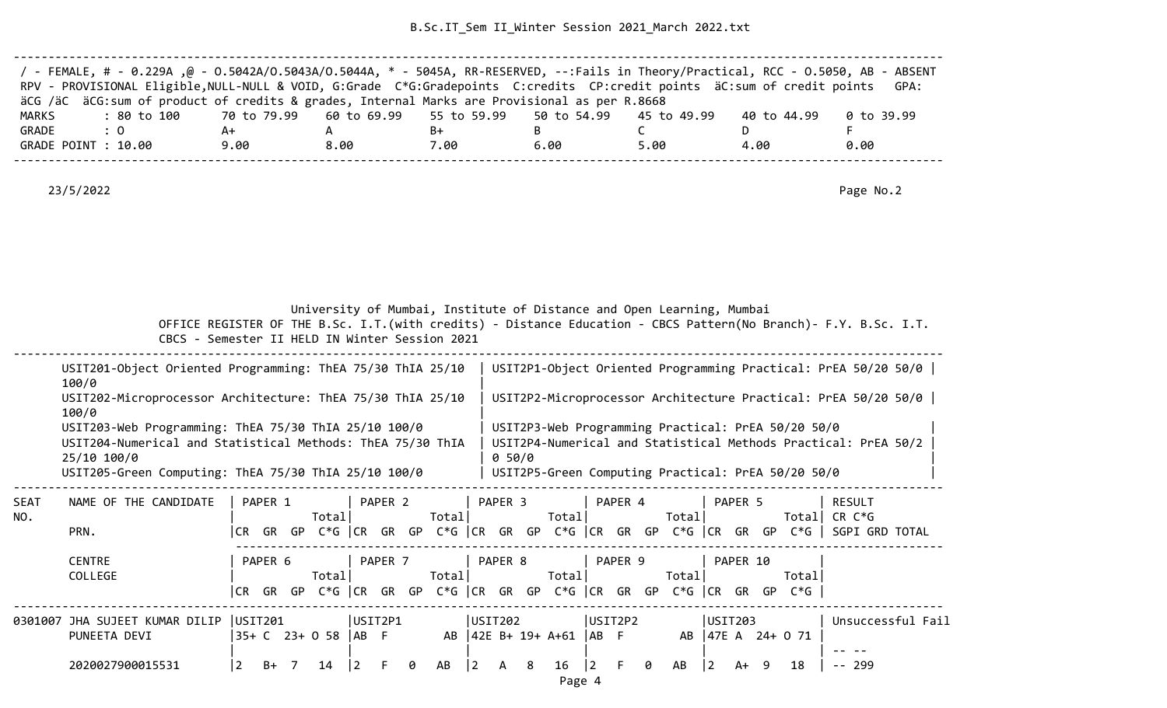B.Sc.IT\_Sem II\_Winter Session 2021\_March 2022.txt

| / - FEMALE, # - 0.229A ,@ - 0.5042A/0.5043A/0.5044A, * - 5045A, RR-RESERVED, --:Fails in Theory/Practical, RCC - 0.5050, AB - ABSENT |      |      |      |      |      |             |            |
|--------------------------------------------------------------------------------------------------------------------------------------|------|------|------|------|------|-------------|------------|
| RPV - PROVISIONAL Eligible, NULL-NULL & VOID, G:Grade C*G:Gradepoints C:credits CP:credit points äC:sum of credit points             |      |      |      |      |      |             | GPA:       |
| äCG /äC äCG:sum of product of credits & grades, Internal Marks are Provisional as per R.8668                                         |      |      |      |      |      |             |            |
| : 80 to 100    70 to 79.99   60 to 69.99   55 to 59.99   50 to 54.99   45 to 49.99<br>MARKS                                          |      |      |      |      |      | 40 to 44.99 | 0 to 39.99 |
| GRADE<br>$\therefore$ 0                                                                                                              | A+   |      | B+   |      |      |             |            |
| GRADE POINT : 10.00                                                                                                                  | 9.00 | 8.00 | 7.00 | 6.00 | 5.00 | 4.00        | 0.00       |
|                                                                                                                                      |      |      |      |      |      |             |            |

23/5/2022 Page No.2

University of Mumbai, Institute of Distance and Open Learning, Mumbai

|             | USIT201-Object Oriented Programming: ThEA 75/30 ThIA 25/10<br>100/0                                                                                                                       |     |           |         |           |       |         |         |     |                 |         |        |        |         |     |                                                                                                          | USIT2P1-Object Oriented Programming Practical: PrEA 50/20 50/0 |  |
|-------------|-------------------------------------------------------------------------------------------------------------------------------------------------------------------------------------------|-----|-----------|---------|-----------|-------|---------|---------|-----|-----------------|---------|--------|--------|---------|-----|----------------------------------------------------------------------------------------------------------|----------------------------------------------------------------|--|
|             | USIT202-Microprocessor Architecture: ThEA 75/30 ThIA 25/10<br>100/0                                                                                                                       |     |           |         |           |       |         |         |     |                 |         |        |        |         |     |                                                                                                          | USIT2P2-Microprocessor Architecture Practical: PrEA 50/20 50/0 |  |
|             | USIT203-Web Programming: ThEA 75/30 ThIA 25/10 100/0<br>USIT204-Numerical and Statistical Methods: ThEA 75/30 ThIA<br>25/10 100/0<br>USIT205-Green Computing: ThEA 75/30 ThIA 25/10 100/0 |     |           |         |           |       |         | 0 50/0  |     |                 |         |        |        |         |     | USIT2P3-Web Programming Practical: PrEA 50/20 50/0<br>USIT2P5-Green Computing Practical: PrEA 50/20 50/0 | USIT2P4-Numerical and Statistical Methods Practical: PrEA 50/2 |  |
| SEAT<br>NO. | NAME OF THE CANDIDATE                                                                                                                                                                     |     | PAPER 1   | Totall  | PAPER 2   | Total |         | PAPER 3 |     | Totall          | PAPER 4 | Totall |        | PAPER 5 |     |                                                                                                          | RESULT<br>Totall CR C*G                                        |  |
|             | PRN.                                                                                                                                                                                      | CR. | GR<br>GP. | C*G ICR | GR<br>GP. |       | C*G ICR | GR      | GP. | $C*G$ ICR GR GP |         | C*G l  | l CR - | GR      | GP. | $C*G$ I                                                                                                  | SGPI GRD TOTAL                                                 |  |

| .                                        |         |                      |         |   |       |           |         |                           |         |   |        |          |                                                                      | <u>an an ara fan an ar a a fan an ar a fan an a a fan an ar a fan an an an an an ar a faoille ann an an </u> |
|------------------------------------------|---------|----------------------|---------|---|-------|-----------|---------|---------------------------|---------|---|--------|----------|----------------------------------------------------------------------|--------------------------------------------------------------------------------------------------------------|
| <b>CENTRE</b>                            | PAPER 6 |                      | PAPER 7 |   |       |           | PAPER 8 |                           | PAPER 9 |   |        | PAPER 10 |                                                                      |                                                                                                              |
| COLLEGE                                  |         | Totall               |         |   | Total |           |         | Total                     |         |   | Totall |          | Total                                                                |                                                                                                              |
|                                          |         |                      |         |   |       |           |         |                           |         |   |        |          | CR GR GP C*G  CR GR GP C*G  CR GR GP C*G  CR GR GP C*G  CR GR GP C*G |                                                                                                              |
| 0301007 JHA SUJEET KUMAR DILIP   USIT201 |         |                      | USIT2P1 |   |       | USIT202   |         |                           | USIT2P2 |   |        | USIT203  |                                                                      | Unsuccessful Fail                                                                                            |
| PUNEETA DEVI                             |         | 35+ C 23+ 0 58  AB F |         |   |       |           |         | AB  42E B+ 19+ A+61  AB F |         |   |        |          | AB 47E A 24+ 0 71                                                    |                                                                                                              |
|                                          |         |                      |         |   |       |           |         |                           |         |   |        |          |                                                                      |                                                                                                              |
| 2020027900015531                         | B+      |                      |         | 0 | AB    | $\vert$ 2 | A 8     | $16 \quad  2$             |         | 0 | AB     | A+       | 18                                                                   | -- 299                                                                                                       |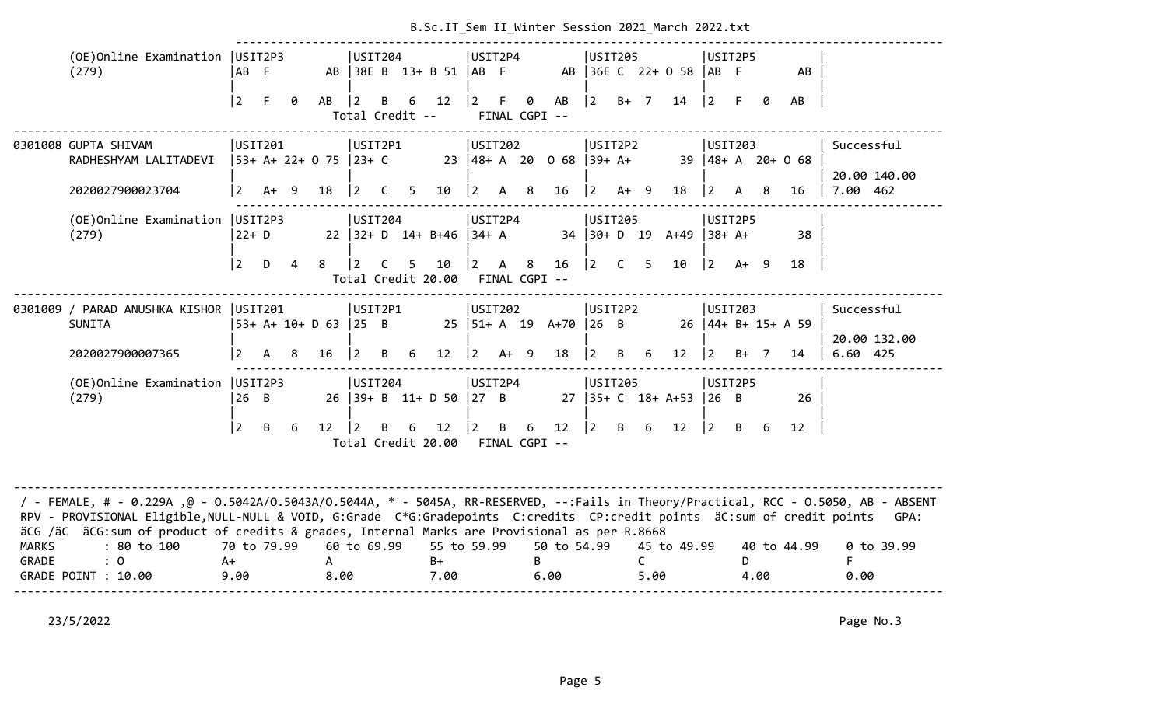|                       |                                                                                                                                                                                                                                                                                                                                                                  |                           |        |                |                             |                                |   |             | B.SC.IT_Sem II_WINTER SESSION Z0ZI_March Z0ZZ.TXT |                               |              |                           |                        |                                     |                |           |                         |                |              |   |                          |                                        |
|-----------------------|------------------------------------------------------------------------------------------------------------------------------------------------------------------------------------------------------------------------------------------------------------------------------------------------------------------------------------------------------------------|---------------------------|--------|----------------|-----------------------------|--------------------------------|---|-------------|---------------------------------------------------|-------------------------------|--------------|---------------------------|------------------------|-------------------------------------|----------------|-----------|-------------------------|----------------|--------------|---|--------------------------|----------------------------------------|
|                       | (OE) Online Examination   USIT2P3<br>(279)                                                                                                                                                                                                                                                                                                                       | AB F                      |        |                |                             | USIT204                        |   |             | AB 38E B 13+ B 51  AB F                           | USIT2P4                       |              |                           |                        | USIT205                             |                |           | AB 36E C 22+ 0 58       | $AB$ F         | USIT2P5      |   | AB                       |                                        |
|                       |                                                                                                                                                                                                                                                                                                                                                                  | $\overline{2}$            | F.     | 0              | AB                          | $ 2\rangle$<br>Total Credit -- | B | 6           | 12                                                | $ 2\rangle$                   | $-F$         | $\theta$<br>FINAL CGPI -- | AB                     | $ 2\rangle$                         | $B+ 7$         |           | 14                      | $ 2\rangle$    | F.           | ø | AB                       |                                        |
|                       | 0301008 GUPTA SHIVAM<br>RADHESHYAM LALITADEVI<br>2020027900023704                                                                                                                                                                                                                                                                                                | USIT201<br>$\overline{2}$ | $A+ 9$ |                | 53+ A+ 22+ 0 75 23+ C<br>18 | USIT2P1<br>$ 2 \tC$            |   | $5^{\circ}$ | 10                                                | <b>USIT202</b><br>$ 2\rangle$ | A 8          |                           | 23 48+ A 20 0 68<br>16 | USIT2P2<br>$ 39+ A+$<br>$ 2\rangle$ | $A+ 9$         |           | 39<br>18                | $\vert$ 2      | USIT203<br>A | 8 | $ 48 + A$ 20+ 0 68<br>16 | Successful<br>20.00 140.00<br>7.00 462 |
|                       | (OE) Online Examination   USIT2P3<br>(279)                                                                                                                                                                                                                                                                                                                       | $22+ D$                   |        |                |                             | USIT204                        |   |             | 22 $ 32 + D$ 14+ B+46 $ 34 + A$                   | USIT2P4                       |              |                           |                        | USIT205                             |                |           | 34 30+ D 19 A+49        | $ 38 + A +$    | USIT2P5      |   | 38                       |                                        |
|                       |                                                                                                                                                                                                                                                                                                                                                                  | $\overline{2}$            | D      | $\overline{a}$ | 8                           | 12.                            | C | 5           | 10<br>Total Credit 20.00                          | $ 2\rangle$<br>FINAL CGPI --  | $\mathsf{A}$ | 8                         | 16                     | $ 2\rangle$                         | $\overline{C}$ | 5         | 10                      | $ 2\rangle$    | $A+ 9$       |   | 18                       |                                        |
|                       | 0301009 / PARAD ANUSHKA KISHOR  USIT201<br><b>SUNITA</b>                                                                                                                                                                                                                                                                                                         |                           |        |                | 53+ A+ 10+ D 63 25 B        | USIT2P1                        |   |             |                                                   | USIT202                       |              |                           | 25   51+ A 19 A+70     | USIT2P2<br>$ 26 \tB$                |                |           |                         |                | USIT203      |   | $26$  44+ B+ 15+ A 59    | Successful<br>20.00 132.00             |
|                       | 2020027900007365                                                                                                                                                                                                                                                                                                                                                 | $\overline{2}$            | A      | 8              | 16                          | $\overline{2}$                 | B | 6           | 12                                                | $ 2\rangle$                   | $A+ 9$       |                           | 18                     | 2                                   | B              | 6         | 12                      | $\overline{2}$ | $B+ 7$       |   | 14                       | 6.60 425                               |
|                       | (OE) Online Examination   USIT2P3<br>(279)                                                                                                                                                                                                                                                                                                                       | $26$ B                    |        |                |                             | USIT204                        |   |             | 26 39+ B 11+ D 50 27 B                            | USIT2P4                       |              |                           |                        | USIT205                             |                |           | $27$   35+ C $18+$ A+53 | 26 B           | USIT2P5      |   | 26                       |                                        |
|                       |                                                                                                                                                                                                                                                                                                                                                                  | $ 2\rangle$               | B      | 6              | 12 <sup>2</sup>             | $\vert$ 2                      | B | 6           | 12<br>Total Credit 20.00                          | $ 2\rangle$<br>FINAL CGPI --  | B            | 6                         | 12                     | $ 2\rangle$                         | B              | 6         | 12                      | $ 2\rangle$    | B            | 6 | 12                       |                                        |
|                       | / - FEMALE, # - 0.229A ,@ - 0.5042A/0.5043A/0.5044A, * - 5045A, RR-RESERVED, --:Fails in Theory/Practical, RCC - 0.5050, AB - ABSENT<br>RPV - PROVISIONAL Eligible, NULL-NULL & VOID, G:Grade C*G:Gradepoints C:credits CP:credit points äC:sum of credit points<br>äCG /äC äCG:sum of product of credits & grades, Internal Marks are Provisional as per R.8668 |                           |        |                |                             |                                |   |             |                                                   |                               |              |                           |                        |                                     |                |           |                         |                |              |   |                          | GPA:                                   |
| <b>MARKS</b><br>GRADE | : 80 to 100<br>$\colon 0$<br>GRADE POINT : 10.00                                                                                                                                                                                                                                                                                                                 | 70 to 79.99<br>A+<br>9.00 |        |                | A<br>8.00                   | 60 to 69.99                    |   |             | 55 to 59.99<br>$B+$<br>7.00                       |                               |              | B                         | 50 to 54.99<br>6.00    |                                     |                | C<br>5.00 | 45 to 49.99             |                | D.<br>4.00   |   | 40 to 44.99              | 0 to 39.99<br>F<br>0.00                |
|                       |                                                                                                                                                                                                                                                                                                                                                                  |                           |        |                |                             |                                |   |             |                                                   |                               |              |                           |                        |                                     |                |           |                         |                |              |   |                          |                                        |

## B.Sc. IT. Sem II. Winter Session 2021 March 2022.txt

23/5/2022 Page No.3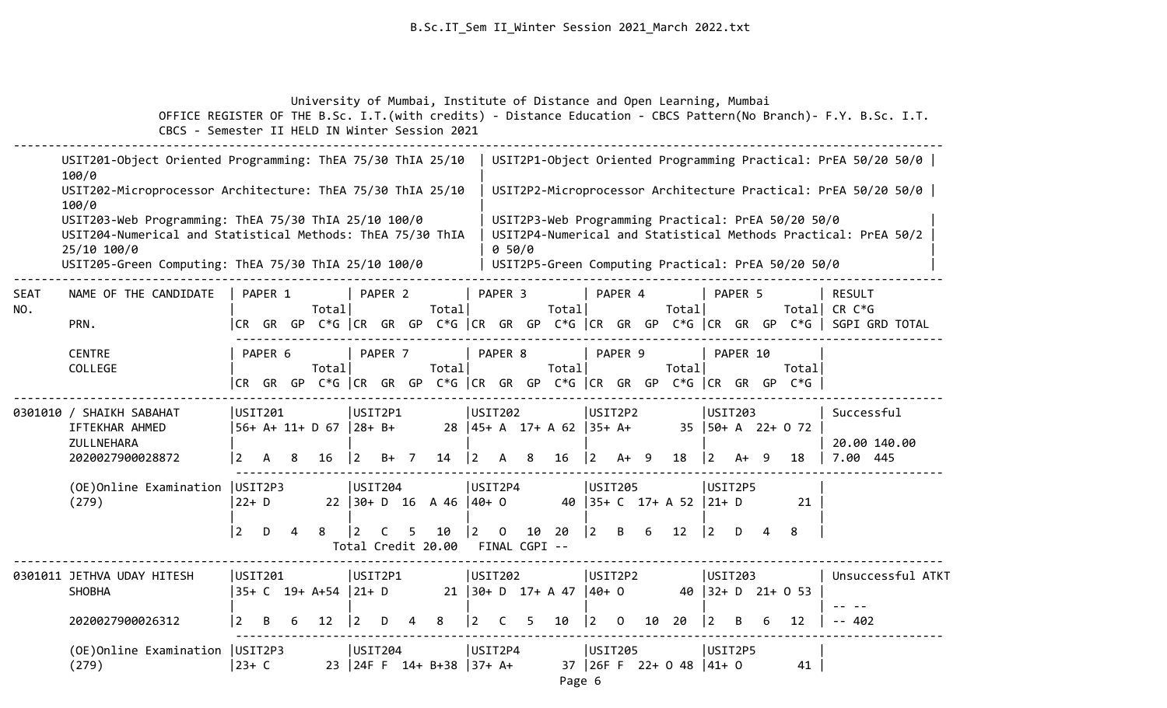University of Mumbai, Institute of Distance and Open Learning, Mumbai

 OFFICE REGISTER OF THE B.Sc. I.T.(with credits) - Distance Education - CBCS Pattern(No Branch)- F.Y. B.Sc. I.T. CBCS - Semester II HELD IN Winter Session 2021 -------------------------------------------------------------------------------------------------------------------------------------- USIT201-Object Oriented Programming: ThEA 75/30 ThIA 25/10 | USIT2P1-Object Oriented Programming Practical: PrEA 50/20 50/0 |  $100/0$  USIT202-Microprocessor Architecture: ThEA 75/30 ThIA 25/10 | USIT2P2-Microprocessor Architecture Practical: PrEA 50/20 50/0 |  $100/0$  USIT203-Web Programming: ThEA 75/30 ThIA 25/10 100/0 | USIT2P3-Web Programming Practical: PrEA 50/20 50/0 | USIT204-Numerical and Statistical Methods: ThEA 75/30 ThIA | USIT2P4-Numerical and Statistical Methods Practical: PrEA 50/2 | 25/10 100/0 | 0 50/0 | USIT205-Green Computing: ThEA 75/30 ThIA 25/10 100/0 | USIT2P5-Green Computing Practical: PrEA 50/20 50/0 -------------------------------------------------------------------------------------------------------------------------------------- SEAT NAME OF THE CANDIDATE | PAPER 1 | PAPER 2 | PAPER 3 | PAPER 4 | PAPER 5 | RESULT NO. | Total| Total| Total| Total| Total| CR C\*G PRN. |CR GR GP C\*G |CR GR GP C\*G |CR GR GP C\*G |CR GR GP C\*G |CR GR GP C\*G | SGPI GRD TOTAL ------------------------------------------------------------------------------------------------------ CENTRE | PAPER 6 | PAPER 8 | PAPER 9 | PAPER 10 COLLEGE | Total| Total| Total| Total| Total| |CR GR GP C\*G |CR GR GP C\*G |CR GR GP C\*G |CR GR GP C\*G |CR GR GP C\*G | -------------------------------------------------------------------------------------------------------------------------------------- 0301010 / SHAIKH SABAHAT |USIT201 |USIT202 |USIT2P2 |USIT203 | Successful IFTEKHAR AHMED |56+ A+ 11+ D 67 |28+ B+ 28 |45+ A 17+ A 62 |35+ A+ 35 |50+ A 22+ O 72 | ZULLNEHARA | | | | | | 20.00 140.00 2020027900028872 |2 A 8 16 |2 B+ 7 14 |2 A 8 16 |2 A+ 9 18 |2 A+ 9 18 | 7.00 445 ------------------------------------------------------------------------------------------------------ (OE)Online Examination |USIT2P3 |USIT204 |USIT2P4 |USIT205 |USIT2P5 |  $(279)$  |22+ D 22 |30+ D 16 A 46 |40+ 0 40 |35+ C 17+ A 52 |21+ D 21 | | | | | | |2 D 4 8 |2 C 5 10 |2 O 10 20 |2 B 6 12 |2 D 4 8 | Total Credit 20.00 FINAL CGPI -- -------------------------------------------------------------------------------------------------------------------------------------- 0301011 JETHVA UDAY HITESH |USIT201 |USIT2P1 |USIT202 |USIT2P2 |USIT203 | Unsuccessful ATKT SHOBHA |35+ C 19+ A+54 |21+ D 21 |30+ D 17+ A 47 |40+ O 40 |32+ D 21+ O 53 | | | | | | | -- -- 2020027900026312 |2 B 6 12 |2 D 4 8 |2 C 5 10 |2 O 10 20 |2 B 6 12 | -- 402 ------------------------------------------------------------------------------------------------------ (OE)Online Examination |USIT2P3 |USIT204 |USIT2P4 |USIT205 |USIT2P5 |

(279) |23+ C 23 |24F F 14+ B+38 |37+ A+ 37 |26F F 22+ O 48 |41+ O 41 |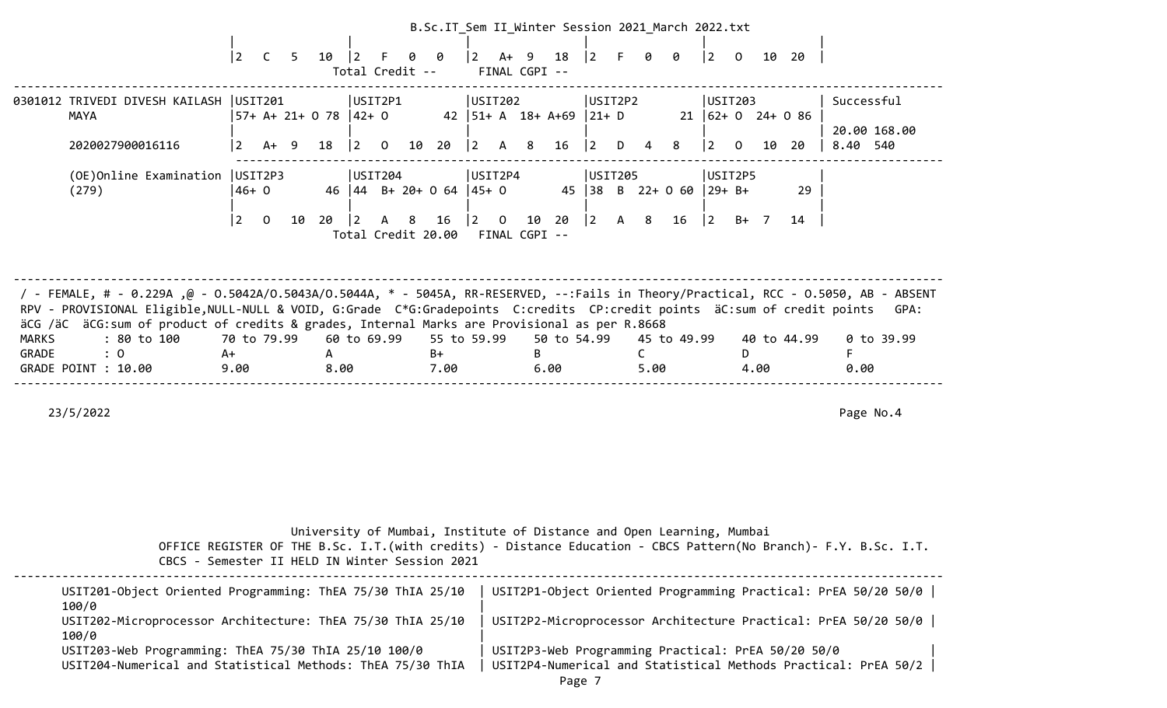|                       |                                                                                                                                                                                                                                                                                                                                                                   |                           |                       |                                  |                |                                    |     |                           |                        |                                 |   |                             |                                     |              |           | B.Sc.IT_Sem II_Winter Session 2021_March 2022.txt |                                                 |                |    |             |                                        |            |      |
|-----------------------|-------------------------------------------------------------------------------------------------------------------------------------------------------------------------------------------------------------------------------------------------------------------------------------------------------------------------------------------------------------------|---------------------------|-----------------------|----------------------------------|----------------|------------------------------------|-----|---------------------------|------------------------|---------------------------------|---|-----------------------------|-------------------------------------|--------------|-----------|---------------------------------------------------|-------------------------------------------------|----------------|----|-------------|----------------------------------------|------------|------|
|                       |                                                                                                                                                                                                                                                                                                                                                                   | $ 2\rangle$               | $\mathsf{C}$<br>$5 -$ | 10                               | $ 2\rangle$    | F.<br>Total Credit --              | 0   | 0                         |                        | A+ 9<br>FINAL CGPI --           |   | 18                          | $ 2\rangle$                         | -F           | 0         | 0                                                 | $ 2\rangle$                                     | $\overline{O}$ |    | 10 20       |                                        |            |      |
|                       | 0301012 TRIVEDI DIVESH KAILASH<br><b>MAYA</b><br>2020027900016116                                                                                                                                                                                                                                                                                                 | USIT201<br>$\overline{2}$ | $A+ 9$                | $57+ A+ 21+ 0 78$ $ 42+ 0$<br>18 | $ 2 \rangle$   | USIT2P1<br>$\overline{0}$          |     | 10 20                     | USIT202<br>$ 2\rangle$ | A 8                             |   | 42 $ 51 + A$ 18+ A+69<br>16 | USIT2P2<br>$ 21+ D $<br>$ 2\rangle$ | D            | 4         | 8                                                 | USIT203<br>$21   62 + 0 24 + 0 86$<br>$\vert$ 2 | $\mathbf{0}$   | 10 | -20         | Successful<br>20.00 168.00<br>8.40 540 |            |      |
|                       | (OE)Online Examination<br>(279)                                                                                                                                                                                                                                                                                                                                   | USIT2P3<br>$46+0$         |                       |                                  |                | USIT204<br>46 44 B+ 20+ 0 64 45+ 0 |     |                           | USIT2P4                |                                 |   |                             | USIT205                             |              |           | 45 38 B 22+ 0 60 29+ B+                           | USIT2P5                                         |                |    | 29          |                                        |            |      |
|                       |                                                                                                                                                                                                                                                                                                                                                                   | $\overline{2}$            | $\mathbf{O}$<br>10    | 20                               | $\overline{2}$ | A<br>Total Credit 20.00            | - 8 | 16                        | $ 2\rangle$            | $\overline{0}$<br>FINAL CGPI -- |   | 10 20                       | $ 2\rangle$                         | $\mathsf{A}$ | - 8       | 16                                                | $ 2\rangle$                                     | $B+ 7$         |    | 14          |                                        |            |      |
|                       | / - FEMALE, # - 0.229A ,@ - 0.5042A/0.5043A/0.5044A, * - 5045A, RR-RESERVED, --:Fails in Theory/Practical, RCC - 0.5050, AB - ABSENT<br>RPV - PROVISIONAL Eligible, NULL-NULL & VOID, G:Grade C*G:Gradepoints C:credits CP:credit points äC:sum of credit points<br>äCG /äC äCG: sum of product of credits & grades, Internal Marks are Provisional as per R.8668 |                           |                       |                                  |                |                                    |     |                           |                        |                                 |   |                             |                                     |              |           |                                                   |                                                 |                |    |             |                                        |            | GPA: |
| <b>MARKS</b><br>GRADE | : 80 to 100<br>: 0<br>GRADE POINT : 10.00                                                                                                                                                                                                                                                                                                                         | A+<br>9.00                | 70 to 79.99           | A<br>8.00                        |                | 60 to 69.99                        |     | 55 to 59.99<br>B+<br>7.00 |                        |                                 | B | 50 to 54.99<br>6.00         |                                     |              | C<br>5.00 | 45 to 49.99                                       |                                                 | D.<br>4.00     |    | 40 to 44.99 | F<br>0.00                              | 0 to 39.99 |      |
|                       | 23/5/2022                                                                                                                                                                                                                                                                                                                                                         |                           |                       |                                  |                |                                    |     |                           |                        |                                 |   |                             |                                     |              |           |                                                   |                                                 |                |    |             |                                        | Page No.4  |      |

|  |  |  | University of Mumbai, Institute of Distance and Open Learning, Mumbai |  |  |  |  |  |  |
|--|--|--|-----------------------------------------------------------------------|--|--|--|--|--|--|
|--|--|--|-----------------------------------------------------------------------|--|--|--|--|--|--|

| USIT201-Object Oriented Programming: ThEA 75/30 ThIA 25/10<br>100/0                                                | USIT2P1-Object Oriented Programming Practical: PrEA 50/20 50/0                                                       |
|--------------------------------------------------------------------------------------------------------------------|----------------------------------------------------------------------------------------------------------------------|
| USIT202-Microprocessor Architecture: ThEA 75/30 ThIA 25/10<br>100/0                                                | USIT2P2-Microprocessor Architecture Practical: PrEA 50/20 50/0                                                       |
| USIT203-Web Programming: ThEA 75/30 ThIA 25/10 100/0<br>USIT204-Numerical and Statistical Methods: ThEA 75/30 ThIA | USIT2P3-Web Programming Practical: PrEA 50/20 50/0<br>USIT2P4-Numerical and Statistical Methods Practical: PrEA 50/2 |
|                                                                                                                    |                                                                                                                      |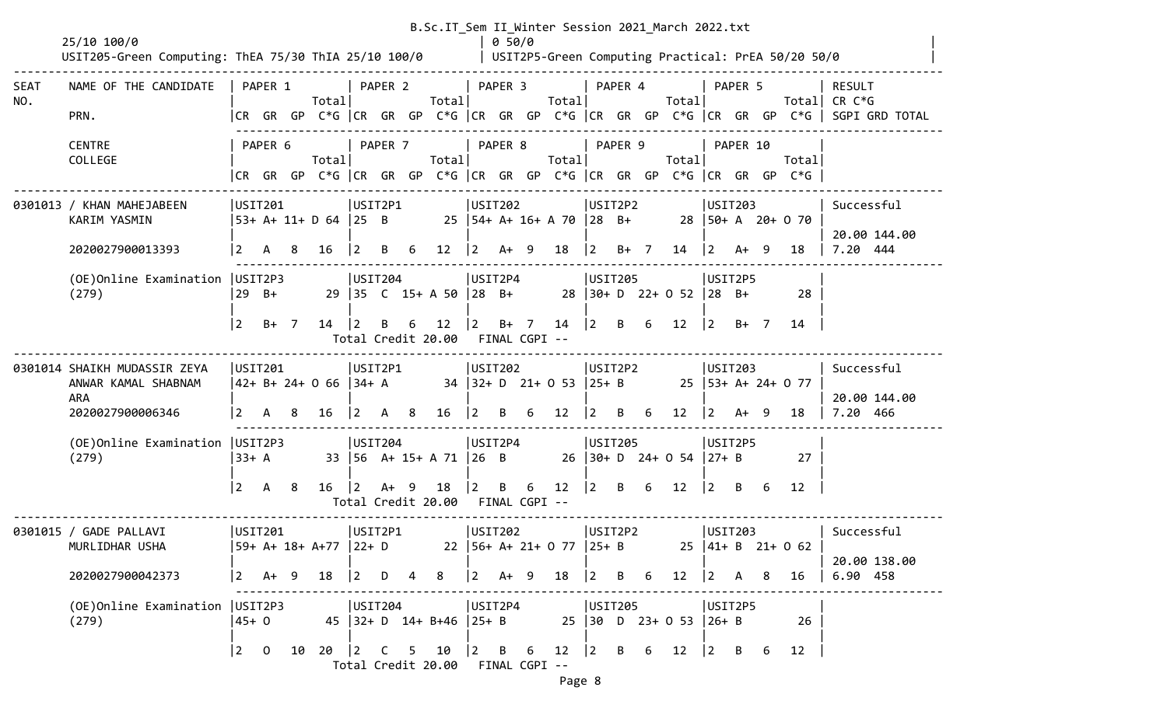|             | 25/10 100/0                                                                    |                                       |         |     |                                                                                                                                           |                                                      |         |     | B.Sc.IT_Sem II_Winter Session 2021_March 2022.txt     |                            | 0 50/0  |                                                  |                           |      |                              |                          |          |   |                                                    |                                                                                       |
|-------------|--------------------------------------------------------------------------------|---------------------------------------|---------|-----|-------------------------------------------------------------------------------------------------------------------------------------------|------------------------------------------------------|---------|-----|-------------------------------------------------------|----------------------------|---------|--------------------------------------------------|---------------------------|------|------------------------------|--------------------------|----------|---|----------------------------------------------------|---------------------------------------------------------------------------------------|
|             | USIT205-Green Computing: ThEA 75/30 ThIA 25/10 100/0                           |                                       |         |     |                                                                                                                                           |                                                      |         |     |                                                       |                            |         |                                                  |                           |      |                              |                          |          |   | USIT2P5-Green Computing Practical: PrEA 50/20 50/0 |                                                                                       |
| SEAT<br>NO. | NAME OF THE CANDIDATE                                                          |                                       | PAPER 1 |     | Totall                                                                                                                                    | PAPER 2                                              |         |     | Total                                                 |                            | PAPER 3 | Total                                            | PAPER 4                   |      | Totall                       |                          | PAPER 5  |   |                                                    | RESULT<br>Total CR $C*G$                                                              |
|             | PRN.                                                                           |                                       |         |     |                                                                                                                                           |                                                      |         |     |                                                       |                            |         |                                                  |                           |      |                              |                          |          |   |                                                    | CR GR GP C*G  CR GR GP C*G  CR GR GP C*G  CR GR GP C*G  CR GR GP C*G   SGPI GRD TOTAL |
|             | <b>CENTRE</b><br>COLLEGE                                                       |                                       | PAPER 6 |     | Totall<br> CR GR GP C*G  CR GR GP C*G  CR GR GP C*G  CR GR GP C*G  CR GR GP C*G                                                           |                                                      | PAPER 7 |     | Totall                                                |                            | PAPER 8 | Totall                                           | PAPER 9                   |      | Totall                       |                          | PAPER 10 |   | Total                                              |                                                                                       |
|             | 0301013 / KHAN MAHEJABEEN<br>KARIM YASMIN                                      | USIT201                               |         |     | 53+ A+ 11+ D 64 25 B                                                                                                                      | USIT2P1                                              |         |     |                                                       | USIT202                    |         | 25   54+ A+ 16+ A 70   28 B+ 28   50+ A 20+ 0 70 | USIT2P2                   |      |                              | USTI203                  |          |   |                                                    | Successful<br>20.00 144.00                                                            |
|             | 2020027900013393                                                               | $\sqrt{2}$                            | A 8     |     | 16                                                                                                                                        | $ 2\rangle$                                          |         | B 6 | $12 \mid 2 \text{ A+ } 9$                             |                            |         | 18   2                                           |                           | B+ 7 | $14 \mid 2 \quad A+ \quad 9$ |                          |          |   | 18                                                 | 7.20 444                                                                              |
|             | (OE) Online Examination   USIT2P3<br>(279)                                     |                                       | $29$ B+ |     |                                                                                                                                           | USIT204                                              |         |     | 29 35 C 15+ A 50 28 B+                                | USIT2P4                    |         |                                                  | USIT205                   |      | $28$ 30+ D 22+ 0 52 28 B+    | USIT2P5                  |          |   | 28                                                 |                                                                                       |
|             |                                                                                | <u> 2</u>                             | B+ 7    |     | 14                                                                                                                                        | 2                                                    | B       | 6   | 12<br>Total Credit 20.00                              | $\vert$ 2<br>FINAL CGPI -- |         | $B+ 7 14$  2                                     |                           | B 6  | 12                           | $\vert$ 2                | $B+$ 7   |   | 14                                                 |                                                                                       |
|             | 0301014 SHAIKH MUDASSIR ZEYA<br>ANWAR KAMAL SHABNAM<br>ARA<br>2020027900006346 | USTI201<br>$\vert$ 2                  |         | A 8 | $ 42+ B+ 24+ 0 66  34+ A$<br>16                                                                                                           | USIT2P1<br>$\begin{vmatrix} 2 & A & B \end{vmatrix}$ |         |     | $16$  2 B 6 12                                        | USIT202                    |         | 34 32+ D 21+ 0 53 25+ B 25 53+ A+ 24+ 0 77       | USIT2P2<br>$\overline{2}$ | B 6  | 12                           | USIT203<br>$ 2 \tA+ \t9$ |          |   | 18                                                 | Successful<br>20.00 144.00<br>7.20 466                                                |
|             | (OE) Online Examination   USIT2P3<br>(279)                                     | $33+ A$                               |         |     |                                                                                                                                           | USIT204                                              |         |     | 33   56 A+ 15+ A 71   26 B                            | USIT2P4                    |         |                                                  | USIT205                   |      | $26$ 30+ D 24+ 0 54 27+ B    | USIT2P5                  |          |   | 27                                                 |                                                                                       |
|             |                                                                                | <u> 2</u>                             | A 8     |     |                                                                                                                                           |                                                      |         |     | $16$ $ 2$ A+ 9 18<br>Total Credit 20.00 FINAL CGPI -- | $\vert$ 2                  |         | B 6 12 2 B 6 12 2 B 6                            |                           |      |                              |                          |          |   | 12                                                 |                                                                                       |
|             | 0301015 / GADE PALLAVI<br>MURLIDHAR USHA                                       | <b>USIT201</b>                        |         |     | 59+ A+ 18+ A+77  22+ D                                                                                                                    | USIT2P1                                              |         |     |                                                       | <b>USIT202</b>             |         | 22   56+ A+ 21+ 0 77   25+ B 25   41+ B 21+ 0 62 | USIT2P2                   |      |                              | USIT203                  |          |   |                                                    | Successful<br>20.00 138.00                                                            |
|             | 2020027900042373                                                               |                                       |         |     | $\begin{array}{ c c c c c c c c } \hline 2 & A+ & 9 & 18 & \begin{array}{ c c c c } \hline 2 & D & \hline \end{array} \hline \end{array}$ |                                                      |         | 4   | 8                                                     | $ 2 \tA+ 9$                |         | 18                                               | $\vert$ 2                 | B 6  | $12 \quad  2$                |                          | A 8      |   | 16                                                 | 6.90 458                                                                              |
|             | (OE)Online Examination   USIT2P3<br>(279)                                      | $45+0$                                |         |     | USIT204                                                                                                                                   |                                                      |         |     | 45 32+ D 14+ B+46 25+ B                               | USIT2P4                    |         |                                                  | USIT205                   |      | 25 30 D 23+ 0 53 26+ B       | USIT2P5                  |          |   | 26                                                 |                                                                                       |
|             |                                                                                | $\begin{vmatrix} 2 & 0 \end{vmatrix}$ |         |     | 10 20 2 C 5 10                                                                                                                            |                                                      |         |     | Total Credit 20.00 FINAL CGPI --                      |                            |         | $\begin{vmatrix} 2 & B & 6 & 12 \end{vmatrix}$ 2 |                           | B 6  | 12                           | $ 2 \rangle$             | B        | 6 | 12                                                 |                                                                                       |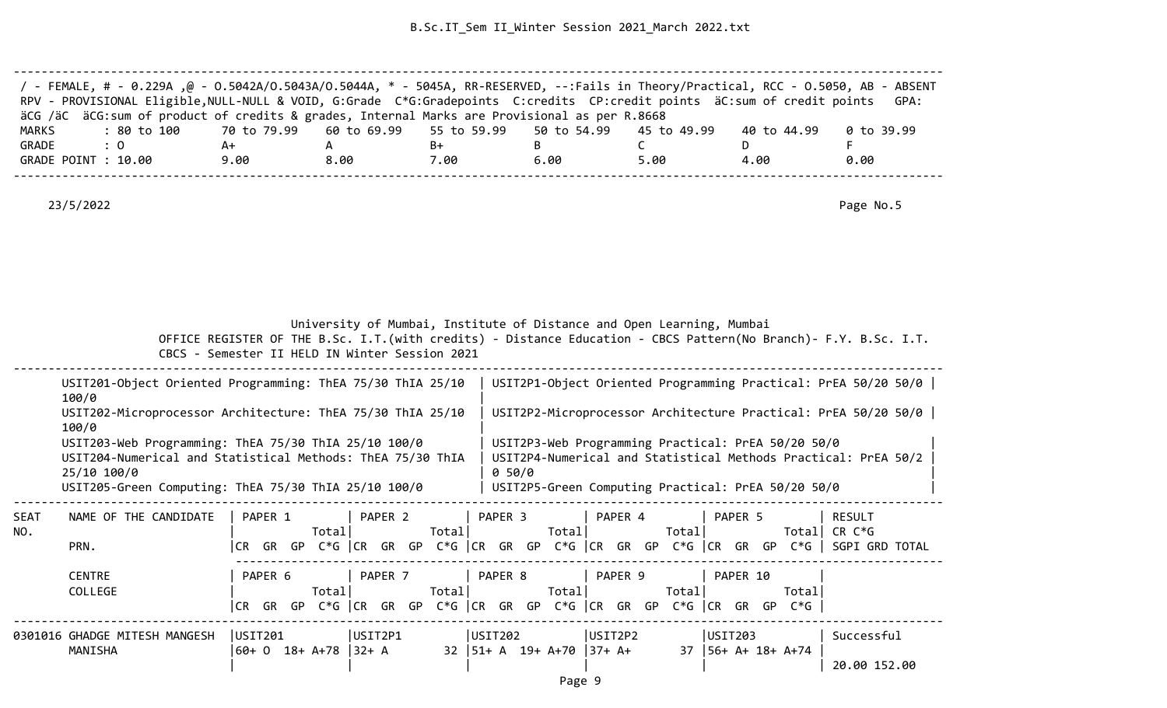| / - FEMALE, # - 0.229A ,@ - 0.5042A/0.5043A/0.5044A, * - 5045A, RR-RESERVED, --:Fails in Theory/Practical, RCC - 0.5050, AB - ABSENT<br>RPV - PROVISIONAL Eligible, NULL-NULL & VOID, G:Grade C*G:Gradepoints C:credits CP:credit points äC:sum of credit points GPA: |      |      |      |      |      |             |            |
|-----------------------------------------------------------------------------------------------------------------------------------------------------------------------------------------------------------------------------------------------------------------------|------|------|------|------|------|-------------|------------|
| äCG /äC äCG:sum of product of credits & grades, Internal Marks are Provisional as per R.8668                                                                                                                                                                          |      |      |      |      |      |             |            |
| : 80 to 100    70 to 79.99   60 to 69.99   55 to 59.99   50 to 54.99   45 to 49.99<br>MARKS                                                                                                                                                                           |      |      |      |      |      | 40 to 44.99 | 0 to 39.99 |
| GRADE<br>$\therefore$ 0                                                                                                                                                                                                                                               | A+   |      | B+   |      |      |             |            |
| GRADE POINT : 10.00                                                                                                                                                                                                                                                   | 9.00 | 8.00 | 7.00 | 6.00 | 5.00 | 4.00        | 0.00       |
|                                                                                                                                                                                                                                                                       |      |      |      |      |      |             |            |

23/5/2022 Page No.5

University of Mumbai, Institute of Distance and Open Learning, Mumbai

 OFFICE REGISTER OF THE B.Sc. I.T.(with credits) - Distance Education - CBCS Pattern(No Branch)- F.Y. B.Sc. I.T. CBCS - Semester II HELD IN Winter Session 2021

--------------------------------------------------------------------------------------------------------------------------------------

|      | USIT201-Object Oriented Programming: ThEA 75/30 ThIA 25/10<br>100/0                                                                                                                       |         | USIT2P1-Object Oriented Programming Practical: PrEA 50/20 50/0                                                                                                             |         |        |  |
|------|-------------------------------------------------------------------------------------------------------------------------------------------------------------------------------------------|---------|----------------------------------------------------------------------------------------------------------------------------------------------------------------------------|---------|--------|--|
|      | USIT202-Microprocessor Architecture: ThEA 75/30 ThIA 25/10<br>100/0                                                                                                                       |         | USIT2P2-Microprocessor Architecture Practical: PrEA 50/20 50/0                                                                                                             |         |        |  |
|      | USIT203-Web Programming: ThEA 75/30 ThIA 25/10 100/0<br>USIT204-Numerical and Statistical Methods: ThEA 75/30 ThIA<br>25/10 100/0<br>USIT205-Green Computing: ThEA 75/30 ThIA 25/10 100/0 | 0 50/0  | USIT2P3-Web Programming Practical: PrEA 50/20 50/0<br>USIT2P4-Numerical and Statistical Methods Practical: PrEA 50/2<br>USIT2P5-Green Computing Practical: PrEA 50/20 50/0 |         |        |  |
| SEAT | NAME OF THE CANDIDATE<br>PAPER 2<br>PAPER 1                                                                                                                                               | PAPER 3 | PAPER 4                                                                                                                                                                    | PAPER 5 | RESULT |  |

| NO. |                               |         |         | Total          |           |         | Total |         |  | Totall                                          |         | Totall               |          |                                                                      | Totall CR C*G                                                                         |  |
|-----|-------------------------------|---------|---------|----------------|-----------|---------|-------|---------|--|-------------------------------------------------|---------|----------------------|----------|----------------------------------------------------------------------|---------------------------------------------------------------------------------------|--|
|     | PRN.                          |         |         |                |           |         |       |         |  |                                                 |         |                      |          |                                                                      | CR GR GP C*G  CR GR GP C*G  CR GR GP C*G  CR GR GP C*G  CR GR GP C*G   SGPI GRD TOTAL |  |
|     | <b>CENTRE</b>                 |         | PAPER 6 |                |           | PAPER 7 |       | PAPER 8 |  |                                                 | PAPER 9 |                      | PAPER 10 |                                                                      |                                                                                       |  |
|     | COLLEGE                       |         |         | Totall         |           |         | Total |         |  | Totall                                          |         | Totall               |          | Totall                                                               |                                                                                       |  |
|     |                               |         |         |                |           |         |       |         |  |                                                 |         |                      |          | CR GR GP C*G  CR GR GP C*G  CR GR GP C*G  CR GR GP C*G  CR GR GP C*G |                                                                                       |  |
|     | 0301016 GHADGE MITESH MANGESH | USTI201 |         |                |           | USIT2P1 |       | USIT202 |  |                                                 | USIT2P2 |                      | USIT203  |                                                                      | Successful                                                                            |  |
|     | MANISHA                       |         |         | 60+ 0 18+ A+78 | $132 + A$ |         |       |         |  | $32 \mid 51 + A \mid 19 + A + 70 \mid 37 + A +$ |         | 37   56+ A+ 18+ A+74 |          |                                                                      |                                                                                       |  |
|     |                               |         |         |                |           |         |       |         |  |                                                 |         |                      |          |                                                                      | 20.00 152.00                                                                          |  |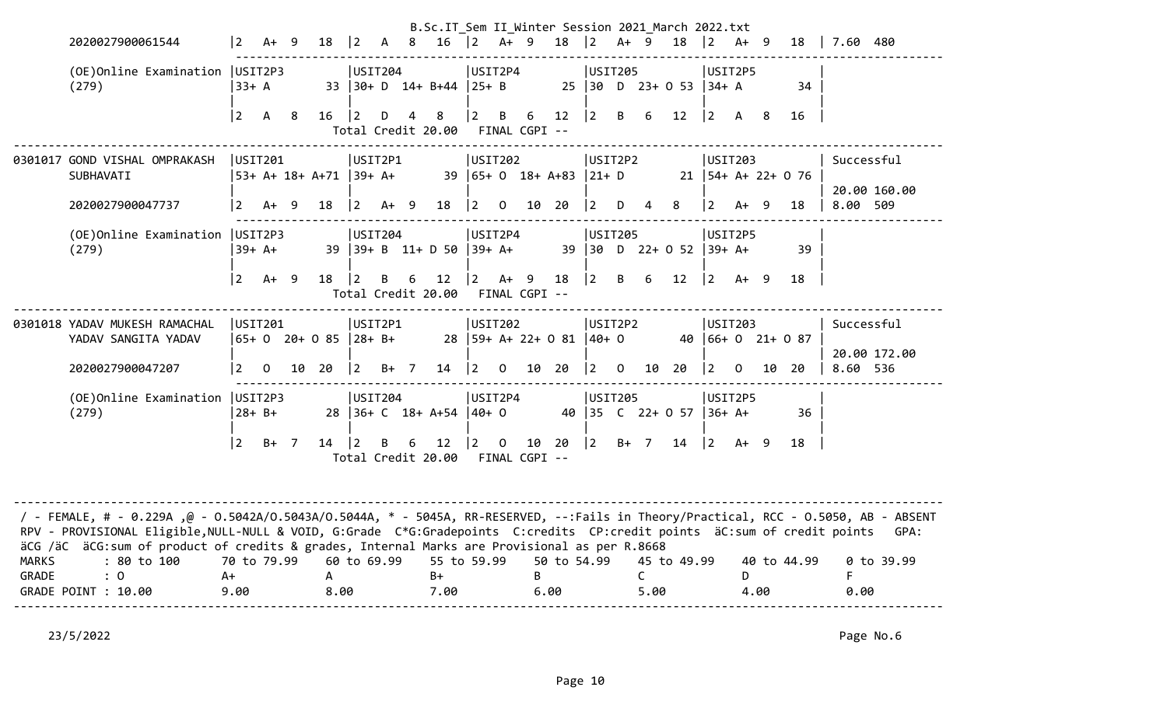|              |                                                                                                                                                                                                                                                                                                                                                                                  |                |              |   |                         |             |        |                | B.Sc.IT Sem II Winter Session 2021 March 2022.txt |                    |                |                     |                              |                                       |   |                      |                         |                                       |             |    |                        |                            |
|--------------|----------------------------------------------------------------------------------------------------------------------------------------------------------------------------------------------------------------------------------------------------------------------------------------------------------------------------------------------------------------------------------|----------------|--------------|---|-------------------------|-------------|--------|----------------|---------------------------------------------------|--------------------|----------------|---------------------|------------------------------|---------------------------------------|---|----------------------|-------------------------|---------------------------------------|-------------|----|------------------------|----------------------------|
|              | 2020027900061544                                                                                                                                                                                                                                                                                                                                                                 | $\vert$ 2      | $A+9$        |   | 18                      | $ 2\rangle$ |        | A 8            | $16$ $ 2$ A+ 9                                    |                    |                |                     | $18$  2 A+ 9                 |                                       |   |                      | 18                      | $ 2\rangle$                           | $A+ 9$      |    | 18                     | 7.60 480                   |
|              | (OE) Online Examination   USIT2P3<br>(279)                                                                                                                                                                                                                                                                                                                                       | $ 33+ A$       |              |   |                         | USIT204     |        |                | 33 30+ D 14+ B+44 25+ B                           | USIT2P4            |                |                     |                              | USIT205                               |   |                      | 25 30 D 23+ 0 53 34+ A  |                                       | USIT2P5     |    | 34                     |                            |
|              |                                                                                                                                                                                                                                                                                                                                                                                  | $\vert$ 2      | A 8          |   | 16                      | $ 2\rangle$ | D      | $\overline{4}$ | 8 <sup>8</sup><br>Total Credit 20.00              | $\overline{2}$     | B              | 6<br>FINAL CGPI --  | 12                           | $ 2 \rangle$                          | B | 6                    | 12                      | $ 2\rangle$                           | A 8         |    | 16                     |                            |
|              | 0301017 GOND VISHAL OMPRAKASH<br>SUBHAVATI                                                                                                                                                                                                                                                                                                                                       |                | USIT201      |   | 53+ A+ 18+ A+71  39+ A+ | USIT2P1     |        |                |                                                   | USIT202            |                |                     | 39   65+ 0 18+ A+83   21+ D  | USIT2P2                               |   |                      |                         |                                       | USIT203     |    | $21$   54+ A+ 22+ 0 76 | Successful<br>20.00 160.00 |
|              | 2020027900047737                                                                                                                                                                                                                                                                                                                                                                 | 2              | A+           | 9 | 18                      | $ 2\rangle$ | $A+ 9$ |                | 18                                                | $ 2\rangle$        | $\mathbf 0$    | 10 20               |                              | l 2.                                  | D | 4                    | 8                       | $ 2\rangle$                           | A+          | 9  | 18                     | 8.00 509                   |
|              | (OE) Online Examination   USIT2P3<br>(279)                                                                                                                                                                                                                                                                                                                                       |                | 39+ A+       |   |                         | USIT204     |        |                | 39   39+ B 11+ D 50   39+ A+                      | USIT2P4            |                |                     |                              | <b>USIT205</b>                        |   |                      | 39 30 D 22+ 0 52 39+ A+ |                                       | USIT2P5     |    | 39                     |                            |
|              |                                                                                                                                                                                                                                                                                                                                                                                  | 2              | $A+ 9$       |   | 18                      | $ 2\rangle$ | B      | 6              | 12<br>Total Credit 20.00                          | $ 2\rangle$        | $A+ 9$         | FINAL CGPI --       | 18                           | $ 2\rangle$                           | B | 6                    | 12                      | $ 2\rangle$                           | $A+ 9$      |    | 18                     |                            |
|              | 0301018 YADAV MUKESH RAMACHAL<br>YADAV SANGITA YADAV                                                                                                                                                                                                                                                                                                                             |                | USIT201      |   |                         | USIT2P1     |        |                |                                                   | <b>USIT202</b>     |                |                     | 28   59+ A+ 22+ 0 81   40+ 0 | USIT2P2                               |   |                      |                         |                                       | USIT203     |    | 40   66+ 0 21+ 0 87    | Successful<br>20.00 172.00 |
|              | 2020027900047207                                                                                                                                                                                                                                                                                                                                                                 | $\vert$ 2      | $\mathsf{O}$ |   | 10 20                   | $ 2\rangle$ | $B+ 7$ |                | 14                                                | $ 2\rangle$        | $\overline{0}$ | 10 20               |                              | $\begin{vmatrix} 2 & 0 \end{vmatrix}$ |   |                      | 10 20                   | $\begin{vmatrix} 2 & 0 \end{vmatrix}$ |             | 10 | 20                     | 8.60 536                   |
|              | (OE) Online Examination   USIT2P3<br>(279)                                                                                                                                                                                                                                                                                                                                       |                | $28 + B +$   |   |                         | USIT204     |        |                | 28 36+ C 18+ A+54                                 | USIT2P4<br>$ 40+0$ |                |                     |                              | USIT205                               |   |                      | 40 35 C 22+ 0 57        | $ 36+ A+$                             | USIT2P5     |    | 36                     |                            |
|              |                                                                                                                                                                                                                                                                                                                                                                                  | $\overline{2}$ | $B+ 7$       |   | 14                      | 2           | B      | 6              | 12<br>Total Credit 20.00                          | $ 2\rangle$        | $\overline{0}$ | 10<br>FINAL CGPI -- | 20                           | $ 2 \rangle$                          |   | $B+ 7$               | 14                      |                                       | $ 2 \tA+ 9$ |    | 18                     |                            |
| <b>MARKS</b> | / - FEMALE, # - 0.229A ,@ - 0.5042A/0.5043A/0.5044A, * - 5045A, RR-RESERVED, --:Fails in Theory/Practical, RCC - 0.5050, AB - ABSENT<br>RPV - PROVISIONAL Eligible, NULL-NULL & VOID, G:Grade C*G:Gradepoints C:credits CP:credit points äC:sum of credit points<br>äCG /äC äCG: sum of product of credits & grades, Internal Marks are Provisional as per R.8668<br>: 80 to 100 |                | 70 to 79.99  |   |                         | 60 to 69.99 |        |                | 55 to 59.99                                       |                    |                |                     | 50 to 54.99                  |                                       |   |                      | 45 to 49.99             |                                       |             |    | 40 to 44.99            | GPA:<br>$0$ to 39.99       |
| <b>GRADE</b> | $\colon 0$<br>GRADE POINT : 10.00                                                                                                                                                                                                                                                                                                                                                | $A+$<br>9.00   |              |   | $\mathsf{A}$<br>8.00    |             |        |                | $B+$<br>7.00                                      |                    |                | B                   | 6.00                         |                                       |   | $\mathsf{C}$<br>5.00 |                         |                                       | D<br>4.00   |    |                        | F.<br>0.00                 |

23/5/2022 Page No.6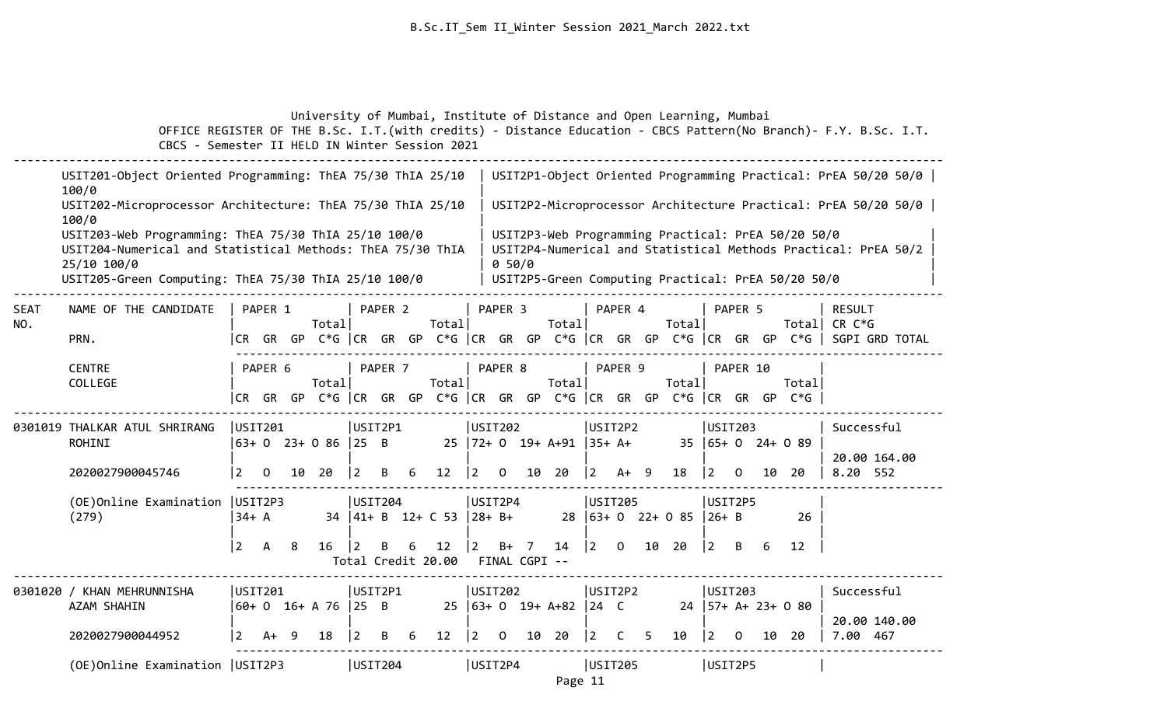|             | OFFICE REGISTER OF THE B.Sc. I.T. (with credits) - Distance Education - CBCS Pattern (No Branch) - F.Y. B.Sc. I.T.<br>CBCS - Semester II HELD IN Winter Session 2021                      |                                                                                  |   |             |                          |         |        | University of Mumbai, Institute of Distance and Open Learning, Mumbai |                                           |                                           |    |                                         |                                                          |                 |       |                         |                                                          |              |         |                                                                                                          |                               |                                                                                       |
|-------------|-------------------------------------------------------------------------------------------------------------------------------------------------------------------------------------------|----------------------------------------------------------------------------------|---|-------------|--------------------------|---------|--------|-----------------------------------------------------------------------|-------------------------------------------|-------------------------------------------|----|-----------------------------------------|----------------------------------------------------------|-----------------|-------|-------------------------|----------------------------------------------------------|--------------|---------|----------------------------------------------------------------------------------------------------------|-------------------------------|---------------------------------------------------------------------------------------|
|             | USIT201-Object Oriented Programming: ThEA 75/30 ThIA 25/10<br>100/0                                                                                                                       |                                                                                  |   |             |                          |         |        |                                                                       |                                           |                                           |    |                                         |                                                          |                 |       |                         |                                                          |              |         |                                                                                                          |                               | USIT2P1-Object Oriented Programming Practical: PrEA 50/20 50/0                        |
|             | USIT202-Microprocessor Architecture: ThEA 75/30 ThIA 25/10<br>100/0                                                                                                                       |                                                                                  |   |             |                          |         |        |                                                                       |                                           |                                           |    |                                         |                                                          |                 |       |                         |                                                          |              |         |                                                                                                          |                               | USIT2P2-Microprocessor Architecture Practical: PrEA 50/20 50/0                        |
|             | USIT203-Web Programming: ThEA 75/30 ThIA 25/10 100/0<br>USIT204-Numerical and Statistical Methods: ThEA 75/30 ThIA<br>25/10 100/0<br>USIT205-Green Computing: ThEA 75/30 ThIA 25/10 100/0 |                                                                                  |   |             |                          |         |        |                                                                       |                                           | 0.50/0                                    |    |                                         |                                                          |                 |       |                         |                                                          |              |         | USIT2P3-Web Programming Practical: PrEA 50/20 50/0<br>USIT2P5-Green Computing Practical: PrEA 50/20 50/0 |                               | USIT2P4-Numerical and Statistical Methods Practical: PrEA 50/2                        |
| SEAT<br>NO. | NAME OF THE CANDIDATE<br>PRN.                                                                                                                                                             | PAPER 1                                                                          |   | Totall      |                          | PAPER 2 |        | Total                                                                 |                                           | PAPER <sub>3</sub>                        |    | Totall                                  |                                                          | PAPER 4         |       | Total                   |                                                          | PAPER 5      |         |                                                                                                          | <b>RESULT</b><br>Total CR C*G | CR GR GP C*G  CR GR GP C*G  CR GR GP C*G  CR GR GP C*G  CR GR GP C*G   SGPI GRD TOTAL |
|             | <b>CENTRE</b><br>COLLEGE                                                                                                                                                                  | PAPER 6<br> CR GR GP C*G  CR GR GP C*G  CR GR GP C*G  CR GR GP C*G  CR GR GP C*G |   | Totall      |                          | PAPER 7 |        | Total                                                                 |                                           | PAPER 8                                   |    | Total                                   |                                                          | PAPER 9         |       | Total                   |                                                          | PAPER 10     |         | Totall                                                                                                   |                               |                                                                                       |
|             | 0301019 THALKAR ATUL SHRIRANG<br>ROHINI                                                                                                                                                   | USIT201<br>$\begin{bmatrix} 63+ & 0 & 23+ & 0 & 86 & 25 & B \end{bmatrix}$       |   |             | USIT2P1                  |         |        |                                                                       | USIT202                                   |                                           |    | 25   72+ 0 19+ A+91                     | $ 35+ A+$                                                | USIT2P2         |       |                         | USIT203                                                  |              |         | $35 \mid 65 + 0$ 24+ 0 89                                                                                | Successful                    | 20.00 164.00                                                                          |
|             | 2020027900045746<br>(OE) Online Examination   USIT2P3<br>(279)                                                                                                                            | $\vert 2 \vert$<br>$\mathbf 0$<br>$34+ A$<br>$ 2\rangle$<br>$\overline{A}$       | 8 | 10 20<br>16 | $ 2\rangle$<br>USIT204   | B<br>B  | 6<br>6 | 12<br>$34$  41+ B 12+ C 53  28+ B+<br>12<br>Total Credit 20.00        | $ 2\rangle$<br>USIT2P4<br>$\vert 2 \vert$ | $\overline{0}$<br>$B+ 7$<br>FINAL CGPI -- |    | 10 20<br>14                             | $\vert 2 \vert$<br>$\begin{vmatrix} 2 & 0 \end{vmatrix}$ | A+ 9<br>USIT205 | 10 20 | 18<br>28 63+ 0 22+ 0 85 | $\vert 2 \vert$<br>USIT2P5<br>$26 + B$<br>$\overline{2}$ | . O<br>B     | 10<br>6 | -20<br>26<br>12                                                                                          | 8.20 552                      |                                                                                       |
|             | 0301020 / KHAN MEHRUNNISHA<br>AZAM SHAHIN<br>2020027900044952                                                                                                                             | USIT201<br>$ 60+ 0 16+ A 76  25 B$<br><u>2</u><br>A+                             | q | 18          | USIT2P1<br>$\frac{1}{2}$ | B       | 6      | 12                                                                    | USIT202<br>$\mathbf{2}$                   | $\Omega$                                  | 10 | $25 \mid 63 + 0 \mid 19 + A + 82$<br>20 | $ 24 \tC$<br>$\overline{2}$                              | USIT2P2<br>C    | 5     | 10                      | $\mathbf{2}$                                             | USIT203<br>0 |         | $24$   57+ A+ 23+ 0 80<br>10 20                                                                          | Successful<br>7.00 467        | 20.00 140.00                                                                          |
|             | (OE) Online Examination   USIT2P3                                                                                                                                                         |                                                                                  |   |             | USIT204                  |         |        |                                                                       | USIT2P4                                   |                                           |    |                                         |                                                          | USIT205         |       |                         | USIT2P5                                                  |              |         |                                                                                                          |                               |                                                                                       |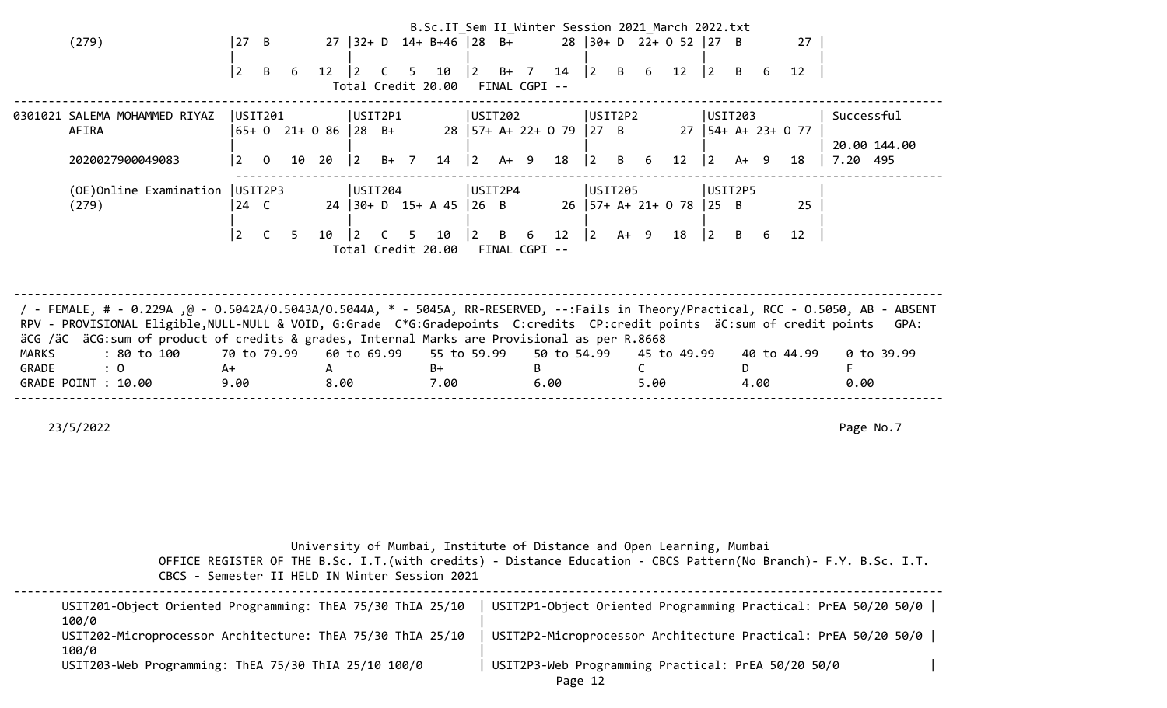|              |                                                                                                                                    |        |                          |       |              |                |        |                |                          |             |                |                              |                 |                                           |        |      | B.Sc.IT_Sem II_Winter Session 2021_March 2022.txt |                 |         |      |                        |              |  |
|--------------|------------------------------------------------------------------------------------------------------------------------------------|--------|--------------------------|-------|--------------|----------------|--------|----------------|--------------------------|-------------|----------------|------------------------------|-----------------|-------------------------------------------|--------|------|---------------------------------------------------|-----------------|---------|------|------------------------|--------------|--|
|              | (279)                                                                                                                              | $27$ B |                          |       | 27           |                |        |                | $ 32+ D$ 14+ B+46 28 B+  |             |                |                              |                 |                                           |        |      | $28$ 30+ D 22+ 0 52 27 B                          |                 |         |      | 27                     |              |  |
|              |                                                                                                                                    |        |                          |       |              |                |        |                |                          |             |                |                              |                 |                                           |        |      |                                                   |                 |         |      |                        |              |  |
|              |                                                                                                                                    | 2      | B                        | - 6   | 12           |                | - C    | 5.             | 10<br>Total Credit 20.00 |             |                | $ 2 \t B+7$<br>FINAL CGPI -- | 14              | $\begin{vmatrix} 2 & B & 6 \end{vmatrix}$ |        |      | 12                                                | $ 2\rangle$     | B       |      | 12                     |              |  |
|              |                                                                                                                                    |        |                          |       |              |                |        |                |                          |             |                |                              |                 |                                           |        |      |                                                   |                 |         |      |                        |              |  |
|              | 0301021 SALEMA MOHAMMED RIYAZ                                                                                                      |        | USIT201                  |       |              | USIT2P1        |        |                |                          |             | USIT202        |                              |                 | USIT2P2                                   |        |      |                                                   |                 | USIT203 |      |                        | Successful   |  |
|              | AFIRA                                                                                                                              |        | $ 65+ 0 21+ 0 86  28 B+$ |       |              |                |        |                |                          |             |                | $28$   57+ A+ 22+ 0 79       |                 | $ 27 \text{ B}$                           |        |      |                                                   |                 |         |      | $27$   54+ A+ 23+ 0 77 |              |  |
|              |                                                                                                                                    |        |                          |       |              |                |        |                |                          |             |                |                              |                 |                                           |        |      |                                                   |                 |         |      |                        | 20.00 144.00 |  |
|              | 2020027900049083                                                                                                                   | 2      | $\mathbf{0}$             | 10 20 |              | $\vert$ 2      | $B+ 7$ |                | 14                       | 2           |                | A+ 9                         | 18              | 2                                         | B      | -6   | 12                                                | $ 2\rangle$     | $A+ 9$  |      | 18                     | 7.20 495     |  |
|              | (OE)Online Examination                                                                                                             |        | USIT2P3                  |       |              | USIT204        |        |                |                          | USIT2P4     |                |                              |                 | USIT205                                   |        |      |                                                   |                 | USIT2P5 |      |                        |              |  |
|              | (279)                                                                                                                              | 24 C   |                          |       |              |                |        |                | 24 30+ D 15+ A 45 26 B   |             |                |                              |                 |                                           |        |      | $26$   57+ A+ 21+ 0 78                            | $ 25 \tB$       |         |      | 25                     |              |  |
|              |                                                                                                                                    |        |                          |       |              |                |        |                |                          |             |                |                              |                 |                                           |        |      |                                                   |                 |         |      |                        |              |  |
|              |                                                                                                                                    | 2      |                          | 5     | 10           | $\overline{2}$ | C.     | 5 <sup>5</sup> | 10                       | $ 2\rangle$ | $\overline{B}$ | 6                            | 12 <sub>1</sub> | $ 2\rangle$                               | $A+ 9$ |      | 18                                                | $\vert 2 \vert$ | B       |      | 12                     |              |  |
|              |                                                                                                                                    |        |                          |       |              |                |        |                | Total Credit 20.00       |             |                | FINAL CGPI --                |                 |                                           |        |      |                                                   |                 |         |      |                        |              |  |
|              |                                                                                                                                    |        |                          |       |              |                |        |                |                          |             |                |                              |                 |                                           |        |      |                                                   |                 |         |      |                        |              |  |
|              |                                                                                                                                    |        |                          |       |              |                |        |                |                          |             |                |                              |                 |                                           |        |      |                                                   |                 |         |      |                        |              |  |
|              | / FEMALE, # - 0.229A ,@ - 0.5042A/0.5043A/0.5044A, * - 5045A, RR-RESERVED, --:Fails in Theory/Practical, RCC - 0.5050, AB - ABSENT |        |                          |       |              |                |        |                |                          |             |                |                              |                 |                                           |        |      |                                                   |                 |         |      |                        |              |  |
|              | RPV - PROVISIONAL Eligible, NULL-NULL & VOID, G:Grade C*G:Gradepoints C:credits CP:credit points äC:sum of credit points           |        |                          |       |              |                |        |                |                          |             |                |                              |                 |                                           |        |      |                                                   |                 |         |      |                        | GPA:         |  |
|              | äCG /äC äCG:sum of product of credits & grades, Internal Marks are Provisional as per R.8668                                       |        |                          |       |              |                |        |                |                          |             |                |                              |                 |                                           |        |      |                                                   |                 |         |      |                        |              |  |
| <b>MARKS</b> | : 80 to 100                                                                                                                        |        | 70 to 79.99              |       |              | 60 to 69.99    |        |                | 55 to 59.99              |             |                |                              | 50 to 54.99     |                                           |        |      | 45 to 49.99                                       |                 |         |      | 40 to 44.99            | 0 to 39.99   |  |
| GRADE        | : 0<br>A+                                                                                                                          |        |                          |       | $\mathsf{A}$ |                |        |                | $B+$                     |             |                | B.                           |                 |                                           |        |      |                                                   |                 | D.      |      |                        |              |  |
|              | GRADE POINT : 10.00                                                                                                                | 9.00   |                          |       | 8.00         |                |        |                | 7.00                     |             |                | 6.00                         |                 |                                           |        | 5.00 |                                                   |                 |         | 4.00 |                        | 0.00         |  |
|              |                                                                                                                                    |        |                          |       |              |                |        |                |                          |             |                |                              |                 |                                           |        |      |                                                   |                 |         |      |                        |              |  |

23/5/2022 Page No.7

University of Mumbai, Institute of Distance and Open Learning, Mumbai

| USIT201-Object Oriented Programming: ThEA 75/30 ThIA 25/10<br>100/0 | USIT2P1-Object Oriented Programming Practical: PrEA 50/20 50/0 |  |
|---------------------------------------------------------------------|----------------------------------------------------------------|--|
| USIT202-Microprocessor Architecture: ThEA 75/30 ThIA 25/10<br>100/0 | USIT2P2-Microprocessor Architecture Practical: PrEA 50/20 50/0 |  |
| USIT203-Web Programming: ThEA 75/30 ThIA 25/10 100/0                | USIT2P3-Web Programming Practical: PrEA 50/20 50/0             |  |
|                                                                     | Diaga 12                                                       |  |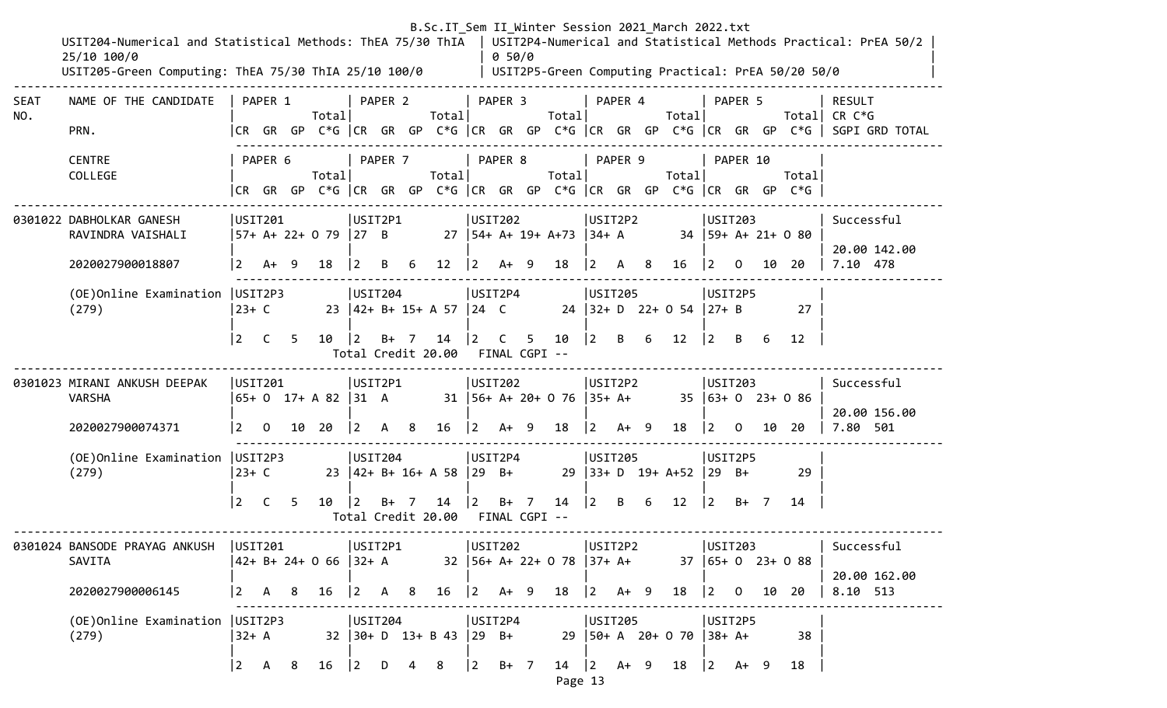|             | USIT204-Numerical and Statistical Methods: ThEA 75/30 ThIA<br>25/10 100/0<br>USIT205-Green Computing: ThEA 75/30 ThIA 25/10 100/0 |                        |                       |   |                              |                        |         |        |                                                     |                   | 0.50/0                   | B.Sc.IT_Sem II_Winter Session 2021_March 2022.txt |             |                                                       |                                      |                                       |                                                  |    | USIT2P5-Green Computing Practical: PrEA 50/20 50/0                             | USIT2P4-Numerical and Statistical Methods Practical: PrEA 50/2                                                            |
|-------------|-----------------------------------------------------------------------------------------------------------------------------------|------------------------|-----------------------|---|------------------------------|------------------------|---------|--------|-----------------------------------------------------|-------------------|--------------------------|---------------------------------------------------|-------------|-------------------------------------------------------|--------------------------------------|---------------------------------------|--------------------------------------------------|----|--------------------------------------------------------------------------------|---------------------------------------------------------------------------------------------------------------------------|
| SEAT<br>NO. | NAME OF THE CANDIDATE<br>PRN.                                                                                                     |                        | PAPER 1               |   | Total                        |                        | PAPER 2 |        | Total                                               |                   | PAPER 3                  | Total                                             |             | PAPER 4                                               | Total                                |                                       | PAPER 5                                          |    |                                                                                | <b>RESULT</b><br>Total CR $C*G$<br> CR GR GP C*G  CR GR GP C*G  CR GR GP C*G  CR GR GP C*G  CR GR GP C*G   SGPI GRD TOTAL |
|             | <b>CENTRE</b><br>COLLEGE                                                                                                          |                        | PAPER 6               |   | Total                        |                        | PAPER 7 |        | Totall                                              |                   | PAPER 8                  | Total                                             |             | PAPER 9                                               | Total                                |                                       | PAPER 10                                         |    | Total<br> CR GR GP C*G  CR GR GP C*G  CR GR GP C*G  CR GR GP C*G  CR GR GP C*G |                                                                                                                           |
|             | 0301022 DABHOLKAR GANESH<br>RAVINDRA VAISHALI<br>2020027900018807                                                                 | <u> 2</u>              | USTI201<br>A+ 9       |   | 57+ A+ 22+ 0 79  27 B<br>18  | USIT2P1<br>$ 2\rangle$ |         | B 6    | $12 \mid 2 \text{ A+ } 9 \text{ } 18$               |                   | USIT202                  | 27   54+ A+ 19+ A+73   34+ A                      |             | USIT2P2<br>$\begin{vmatrix} 2 & A & 8 \end{vmatrix}$  | 16 2 0                               |                                       | USIT203                                          |    | 34 59+ A+ 21+ 0 80<br>10 20                                                    | Successful<br>20.00 142.00<br>7.10 478                                                                                    |
|             | (OE) Online Examination   USIT2P3<br>(279)                                                                                        | $ 23+ C $<br>$\vert$ 2 | C <sub>5</sub>        |   | 10                           | USIT204<br>$\vert$ 2   | $B+$ 7  |        | 23 42+ B+ 15+ A 57 24 C<br>14<br>Total Credit 20.00 | $\vert 2 \vert$ C | USIT2P4<br>FINAL CGPI -- | 5 10                                              | $ 2\rangle$ | USIT205<br>B 6                                        | 24 32+ D 22+ 0 54 27+ B<br>12        |                                       | USIT2P5<br>$\begin{vmatrix} 2 & B \end{vmatrix}$ | 6  | 27<br>12                                                                       |                                                                                                                           |
|             | 0301023 MIRANI ANKUSH DEEPAK<br><b>VARSHA</b><br>2020027900074371                                                                 |                        | USIT201<br> 2 0 10 20 |   | $ 65+0 \t17+ A \t82  31 \tA$ | USIT2P1<br>$ 2\rangle$ | A 8     |        | $16 \quad  2 \quad A+ \quad 9 \quad 18$             |                   | USIT202                  | 31   56+ A+ 20+ 0 76   35+ A+                     |             | USIT2P2<br>$\begin{vmatrix} 2 & A+ & 9 \end{vmatrix}$ | 18                                   | $\begin{vmatrix} 2 & 0 \end{vmatrix}$ | USTI203                                          |    | $35 \mid 63 + 0$ 23+ 0 86<br>10 20                                             | Successful<br>20.00 156.00<br>7.80 501                                                                                    |
|             | (OE) Online Examination   USIT2P3<br>(279)                                                                                        | 23+ C<br>$\vert$ 2     | $\mathsf{C}$          | 5 | $10 \mid 2$                  | USIT204                |         | $B+ 7$ | 23 42+ B+ 16+ A 58 29 B+<br>Total Credit 20.00      |                   | USIT2P4<br>FINAL CGPI -- |                                                   |             | USIT205                                               | $29$ 33+ D 19+ A+52                  | $29 \quad B+$                         | USIT2P5<br>$ 2 \t B+7 $                          |    | 29<br>14                                                                       |                                                                                                                           |
|             | 0301024 BANSODE PRAYAG ANKUSH<br>SAVITA<br>2020027900006145                                                                       | $\vert 2 \vert$        | USIT201<br>A          | 8 | 42+ B+ 24+ 0 66  32+ A<br>16 | USIT2P1<br>$ 2\rangle$ | A       | 8      | 16                                                  |                   | USIT202<br>$ 2 \tA+ 9$   | $32$   56+ A+ 22+ 0 78   37+ A+<br>18             |             | USIT2P2<br>$ 2 \tA+ 9$                                | 18                                   | $\overline{2}$                        | USIT203<br>0                                     | 10 | $37   65 + 0 23 + 0 88$<br>20                                                  | Successful<br>20.00 162.00<br>8.10 513                                                                                    |
|             | (OE) Online Examination   USIT2P3<br>(279)                                                                                        | 32+ A<br>$\vert$ 2     | $\mathsf{A}$          | 8 | 16                           | USIT204<br>$\vert$ 2   | D       |        | $32$   $30+$ D $13+$ B 43   29 B+<br>8              | $\vert$ 2         | USIT2P4<br>$B+ 7$        | 14                                                | $ 2\rangle$ | USIT205<br>$A+ 9$                                     | $29$   50+ A 20+ 0 70   38+ A+<br>18 | $ 2\rangle$                           | USIT2P5<br>$A+ 9$                                |    | 38<br>18                                                                       |                                                                                                                           |

Page 13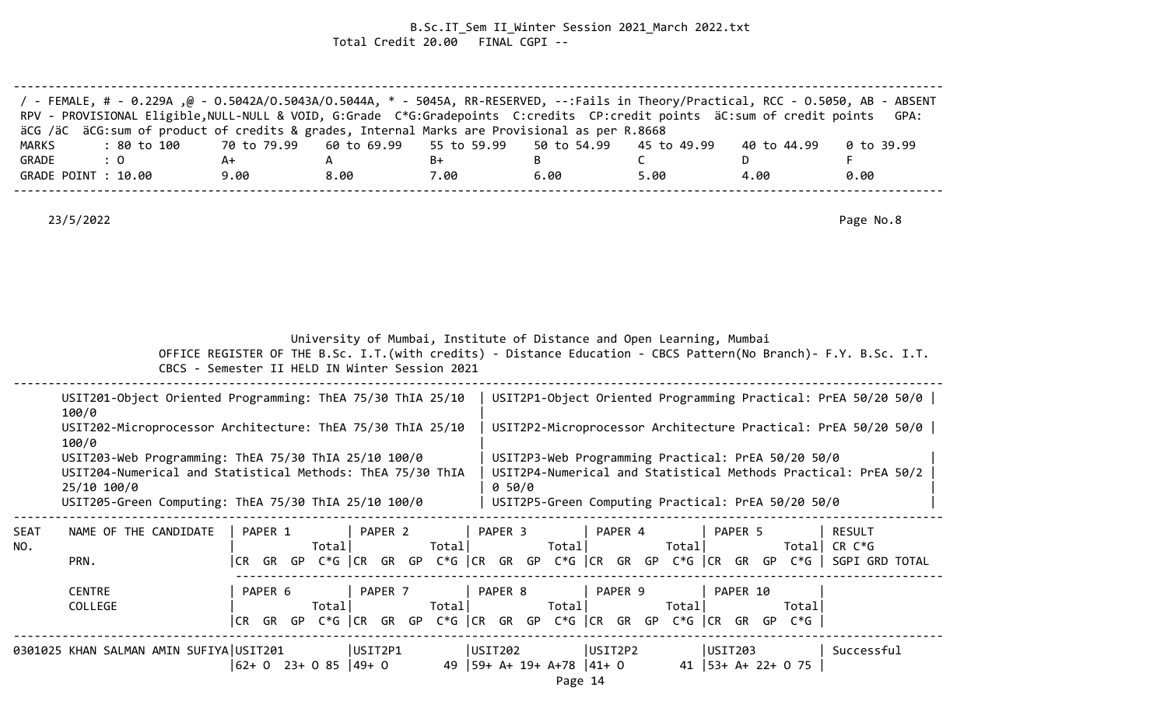## B.Sc.IT\_Sem II\_Winter Session 2021\_March 2022.txt Total Credit 20.00 FINAL CGPI --

| / FEMALE, # - 0.229A ,@ - 0.5042A/0.5043A/0.5044A, * - 5045A, RR-RESERVED, --:Fails in Theory/Practical, RCC - 0.5050, AB - ABSENT<br>RPV - PROVISIONAL Eligible, NULL-NULL & VOID, G:Grade C*G:Gradepoints C:credits CP:credit points äC:sum of credit points |      |      |      |      |      |             | GPA:       |
|----------------------------------------------------------------------------------------------------------------------------------------------------------------------------------------------------------------------------------------------------------------|------|------|------|------|------|-------------|------------|
| äCG /äC äCG:sum of product of credits & grades, Internal Marks are Provisional as per R.8668                                                                                                                                                                   |      |      |      |      |      |             |            |
| : 80 to 100    70 to 79.99   60 to 69.99   55 to 59.99   50 to 54.99   45 to 49.99<br>MARKS                                                                                                                                                                    |      |      |      |      |      | 40 to 44.99 | 0 to 39.99 |
| GRADE<br>$\therefore$ 0                                                                                                                                                                                                                                        | A+   |      | B+   |      |      |             |            |
| GRADE POINT : 10.00                                                                                                                                                                                                                                            | 9.00 | 8.00 | 7.00 | 6.00 | 5.00 | 4.00        | 0.00       |
|                                                                                                                                                                                                                                                                |      |      |      |      |      |             |            |

23/5/2022 Page No.8

| University of Mumbai, Institute of Distance and Open Learning, Mumbai |
|-----------------------------------------------------------------------|
|-----------------------------------------------------------------------|

|             | USIT201-Object Oriented Programming: ThEA 75/30 ThIA 25/10<br>100/0                                                                                                                       |                |                                                                                 |         |       |         |        |       |                                                                                                          |        |          |                       | USIT2P1-Object Oriented Programming Practical: PrEA 50/20 50/0                                            |  |
|-------------|-------------------------------------------------------------------------------------------------------------------------------------------------------------------------------------------|----------------|---------------------------------------------------------------------------------|---------|-------|---------|--------|-------|----------------------------------------------------------------------------------------------------------|--------|----------|-----------------------|-----------------------------------------------------------------------------------------------------------|--|
|             | USIT202-Microprocessor Architecture: ThEA 75/30 ThIA 25/10<br>100/0                                                                                                                       |                |                                                                                 |         |       |         |        |       |                                                                                                          |        |          |                       | USIT2P2-Microprocessor Architecture Practical: PrEA 50/20 50/0                                            |  |
|             | USIT203-Web Programming: ThEA 75/30 ThIA 25/10 100/0<br>USIT204-Numerical and Statistical Methods: ThEA 75/30 ThIA<br>25/10 100/0<br>USIT205-Green Computing: ThEA 75/30 ThIA 25/10 100/0 |                |                                                                                 |         |       |         | 0.50/0 |       | USIT2P3-Web Programming Practical: PrEA 50/20 50/0<br>USIT2P5-Green Computing Practical: PrEA 50/20 50/0 |        |          |                       | USIT2P4-Numerical and Statistical Methods Practical: PrEA 50/2                                            |  |
| SEAT<br>NO. | NAME OF THE CANDIDATE<br>PRN.                                                                                                                                                             | PAPER 1<br>CR  | Total                                                                           | PAPER 2 | Total | PAPER 3 |        | Total | PAPER 4                                                                                                  | Totall | PAPER 5  | Totall                | <b>RESULT</b><br>CR C*G<br>GR GP C*G CR GR GP C*G CR GR GP C*G CR GR GP C*G CR GR GP C*G S SGPI GRD TOTAL |  |
|             | <b>CENTRE</b><br>COLLEGE                                                                                                                                                                  | PAPER 6<br>CR. | Total <br>GR GP C*G CR GR GP C*G CR GR GP C*G CR GR GP C*G CR GR GP C*G $\vert$ | PAPER 7 | Total | PAPER 8 |        | Total | PAPER 9                                                                                                  | Totall | PAPER 10 | Totall                |                                                                                                           |  |
|             | 0301025 KHAN SALMAN AMIN SUFIYA USIT201                                                                                                                                                   |                | USIT2P1<br> 62+ 0 23+ 0 85  49+ 0                                               |         |       | USIT202 |        |       | USIT2P2<br>49   59+ A+ 19+ A+78   41+ 0                                                                  |        | USIT203  | 41 $ 53+ A+ 22+ 0 75$ | Successful                                                                                                |  |